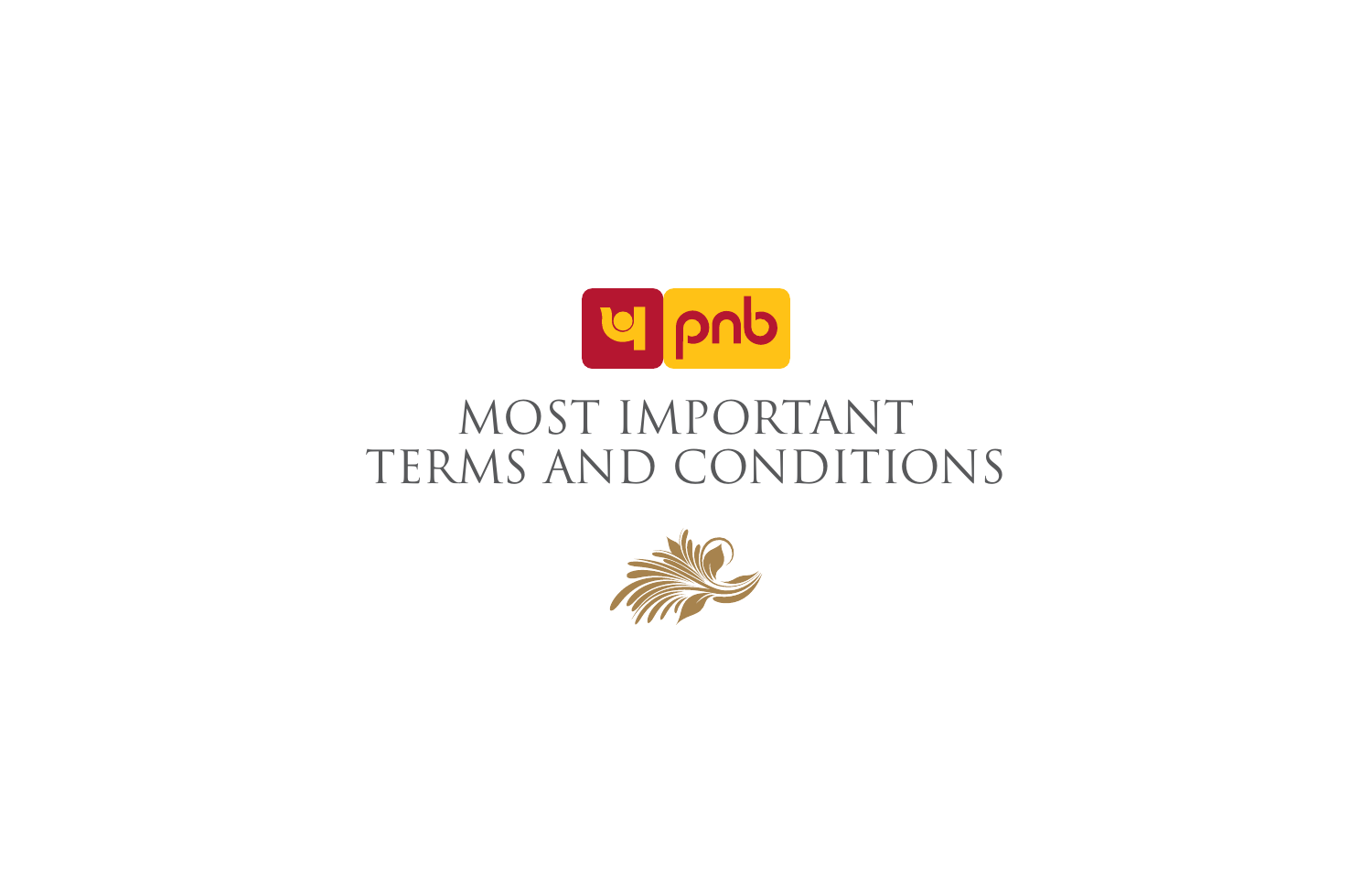

# MOST IMPORTANT TERMS AND CONDITIONS

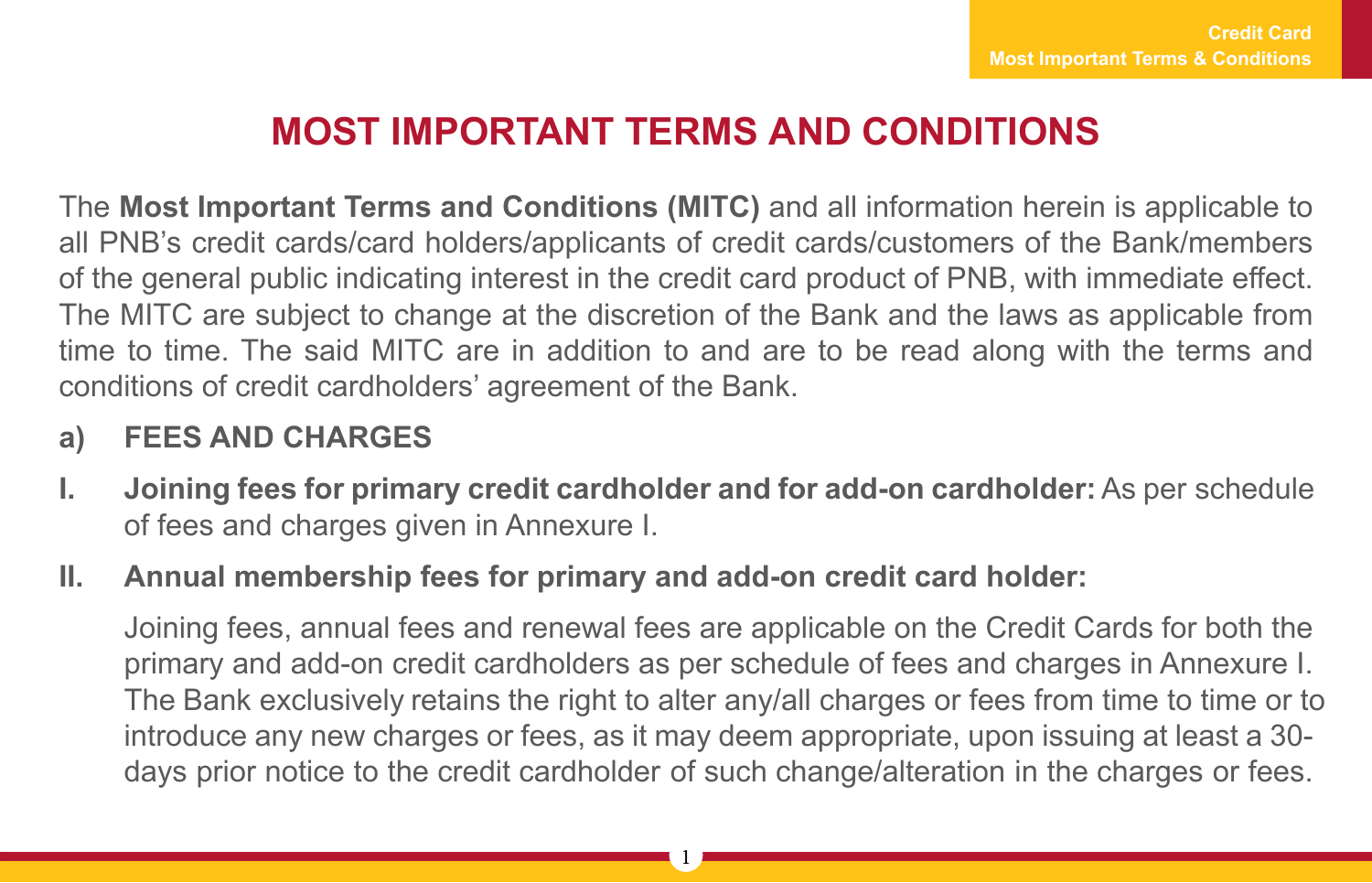## **MOST IMPORTANT TERMS AND CONDITIONS**

The **Most Important Terms and Conditions (MITC)** and all information herein is applicable to all PNB's credit cards/card holders/applicants of credit cards/customers of the Bank/members of the general public indicating interest in the credit card product of PNB, with immediate effect. The MITC are subject to change at the discretion of the Bank and the laws as applicable from time to time. The said MITC are in addition to and are to be read along with the terms and conditions of credit cardholders' agreement of the Bank.

#### **a) FEES AND CHARGES**

- **I. Joining fees for primary credit cardholder and for add-on cardholder:** As per schedule of fees and charges given in Annexure I.
- **II. Annual membership fees for primary and add-on credit card holder:**

Joining fees, annual fees and renewal fees are applicable on the Credit Cards for both the primary and add-on credit cardholders as per schedule of fees and charges in Annexure I. The Bank exclusively retains the right to alter any/all charges or fees from time to time or to introduce any new charges or fees, as it may deem appropriate, upon issuing at least a 30 days prior notice to the credit cardholder of such change/alteration in the charges or fees.

1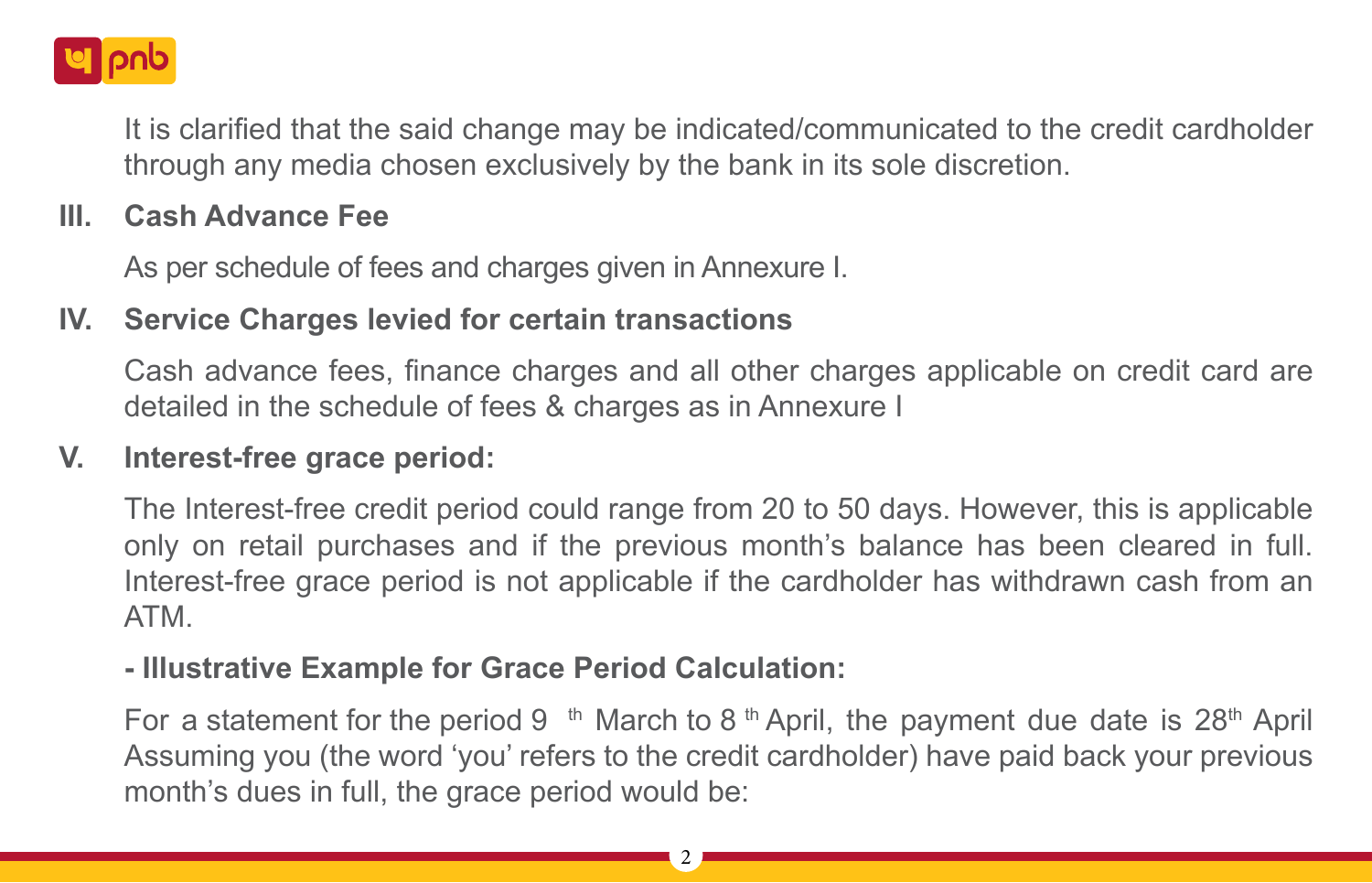

It is clarified that the said change may be indicated/communicated to the credit cardholder through any media chosen exclusively by the bank in its sole discretion.

#### **III. Cash Advance Fee**

As per schedule of fees and charges given in Annexure I.

## **IV. Service Charges levied for certain transactions**

Cash advance fees, finance charges and all other charges applicable on credit card are detailed in the schedule of fees & charges as in Annexure I

## **V. Interest-free grace period:**

The Interest-free credit period could range from 20 to 50 days. However, this is applicable only on retail purchases and if the previous month's balance has been cleared in full. Interest-free grace period is not applicable if the cardholder has withdrawn cash from an ATM.

#### **- Illustrative Example for Grace Period Calculation:**

For a statement for the period 9 <sup>th</sup> March to 8<sup>th</sup> April, the payment due date is 28<sup>th</sup> April Assuming you (the word 'you' refers to the credit cardholder) have paid back your previous month's dues in full, the grace period would be: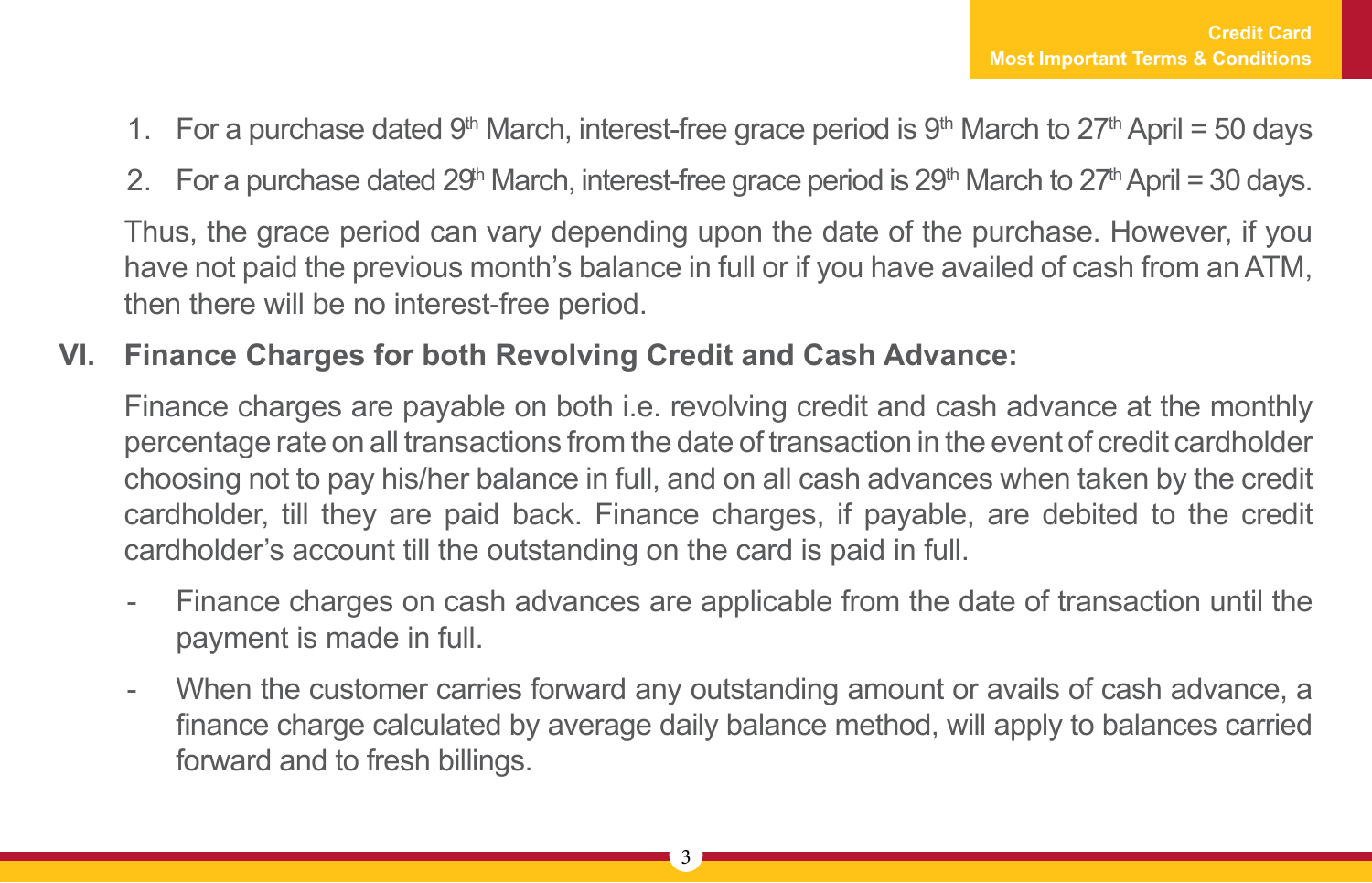- 1. For a purchase dated 9<sup>th</sup> March, interest-free grace period is 9<sup>th</sup> March to 27<sup>th</sup> April = 50 days
- 2. For a purchase dated 29<sup>th</sup> March, interest-free grace period is 29<sup>th</sup> March to 27<sup>th</sup> April = 30 days.

Thus, the grace period can vary depending upon the date of the purchase. However, if you have not paid the previous month's balance in full or if you have availed of cash from an ATM, then there will be no interest-free period.

## **VI. Finance Charges for both Revolving Credit and Cash Advance:**

Finance charges are payable on both i.e. revolving credit and cash advance at the monthly percentage rate on all transactions from the date of transaction in the event of credit cardholder choosing not to pay his/her balance in full, and on all cash advances when taken by the credit cardholder, till they are paid back. Finance charges, if payable, are debited to the credit cardholder's account till the outstanding on the card is paid in full.

- Finance charges on cash advances are applicable from the date of transaction until the payment is made in full.
- When the customer carries forward any outstanding amount or avails of cash advance, a finance charge calculated by average daily balance method, will apply to balances carried forward and to fresh billings.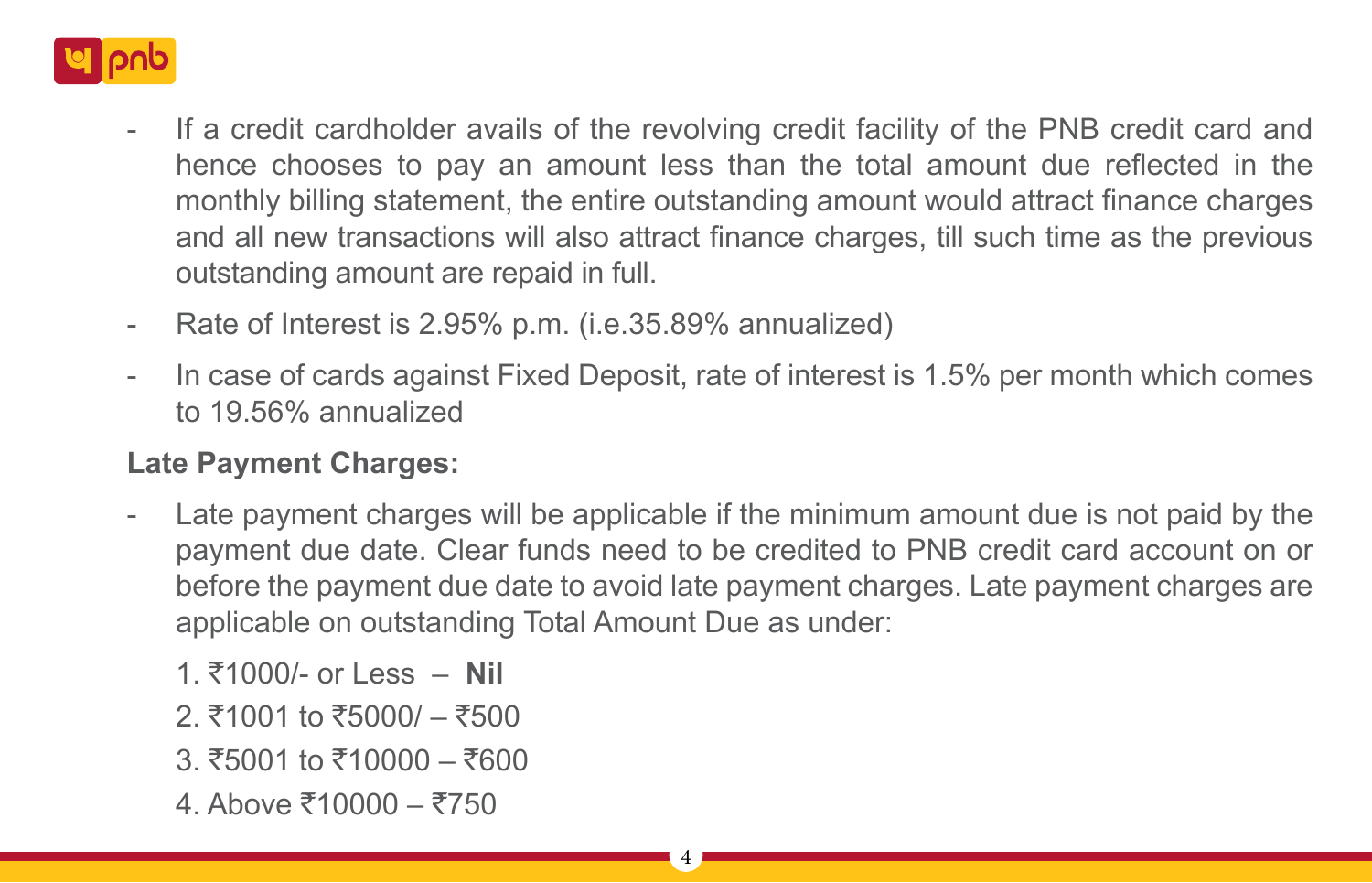

- If a credit cardholder avails of the revolving credit facility of the PNB credit card and hence chooses to pay an amount less than the total amount due reflected in the monthly billing statement, the entire outstanding amount would attract finance charges and all new transactions will also attract finance charges, till such time as the previous outstanding amount are repaid in full.
- Rate of Interest is 2.95% p.m. (i.e.35.89% annualized)
- In case of cards against Fixed Deposit, rate of interest is 1.5% per month which comes to 19.56% annualized

## **Late Payment Charges:**

- Late payment charges will be applicable if the minimum amount due is not paid by the payment due date. Clear funds need to be credited to PNB credit card account on or before the payment due date to avoid late payment charges. Late payment charges are applicable on outstanding Total Amount Due as under:
	- 1. `1000/- or Less **Nil**
	- 2. ₹1001 to ₹5000/ ₹500
	- 3.  $\overline{5}5001$  to  $\overline{5}10000 \overline{5}600$
	- 4. Above  $\bar{x}$ 10000  $\bar{x}$ 750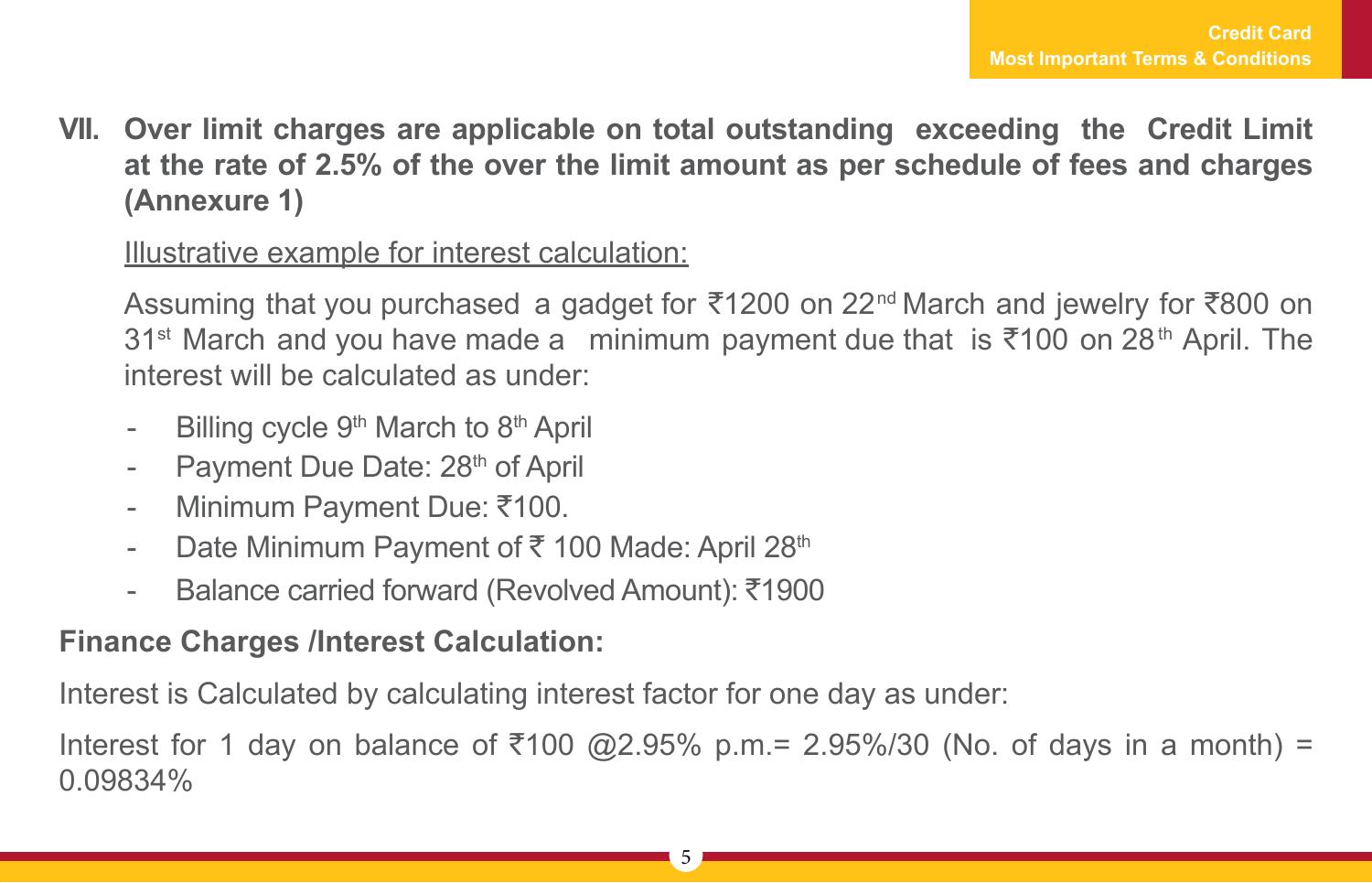**VII. Over limit charges are applicable on total outstanding exceeding the Credit Limit at the rate of 2.5% of the over the limit amount as per schedule of fees and charges (Annexure 1)**

Illustrative example for interest calculation:

Assuming that you purchased a gadget for  $\overline{5}1200$  on 22<sup>nd</sup> March and jewelry for  $\overline{5}800$  on 31<sup>st</sup> March and you have made a minimum payment due that is  $\overline{5}100$  on 28<sup>th</sup> April. The interest will be calculated as under:

- Billing cycle 9<sup>th</sup> March to 8<sup>th</sup> April
- Payment Due Date: 28<sup>th</sup> of April
- Minimum Payment Due: ₹100.
- Date Minimum Payment of  $\bar{\tau}$  100 Made: April 28<sup>th</sup>
- Balance carried forward (Revolved Amount):  $\bar{\tau}$ 1900

## **Finance Charges /Interest Calculation:**

Interest is Calculated by calculating interest factor for one day as under:

Interest for 1 day on balance of  $\overline{$}100$  @2.95% p.m.= 2.95%/30 (No. of days in a month) = 0.09834%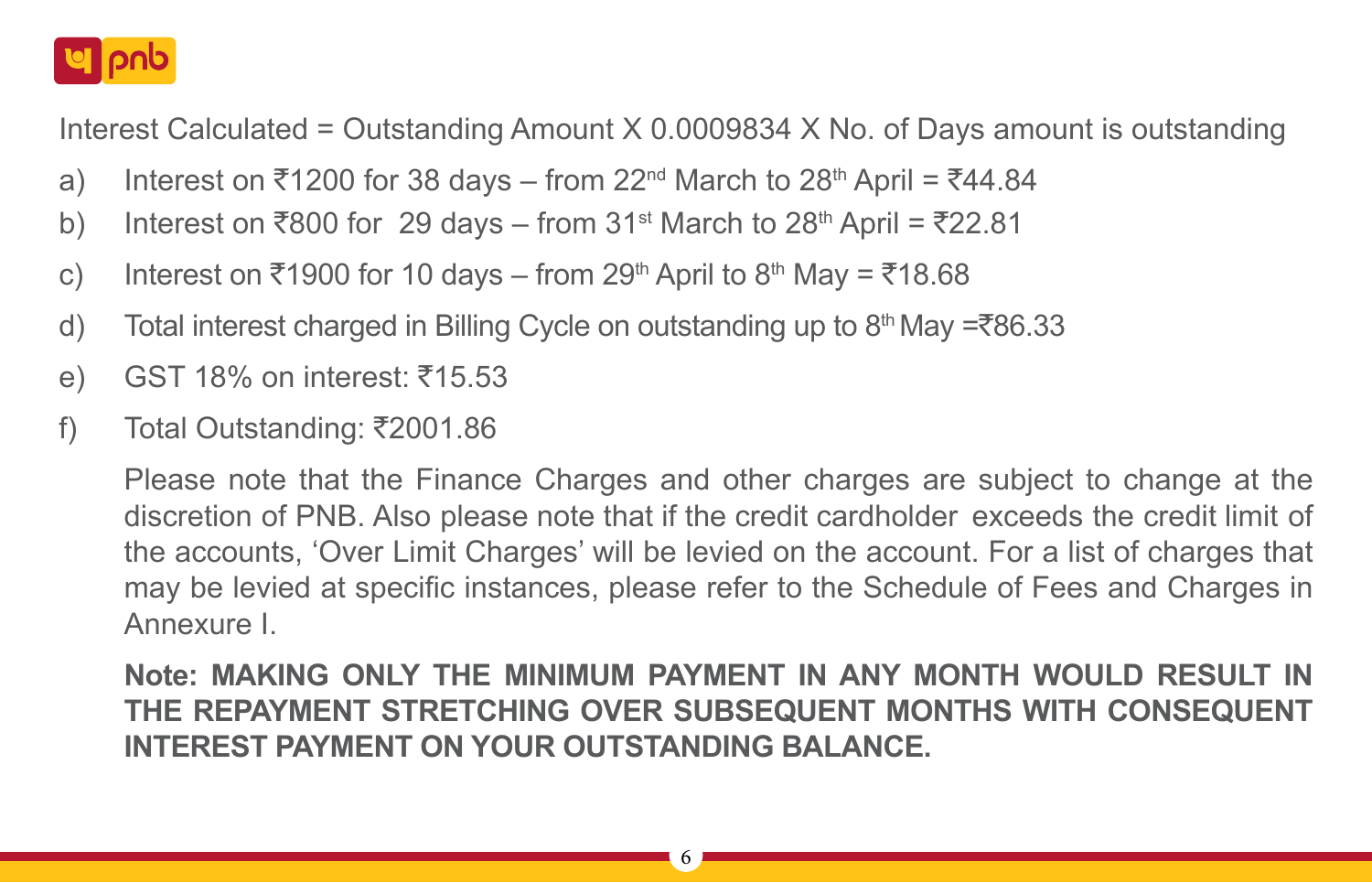

Interest Calculated = Outstanding Amount X 0.0009834 X No. of Days amount is outstanding

- a) Interest on  $\overline{5}1200$  for 38 days from  $22^{\text{nd}}$  March to  $28^{\text{th}}$  April =  $\overline{5}44.84$
- b) Interest on  $\overline{800}$  for 29 days from 31<sup>st</sup> March to 28<sup>th</sup> April =  $\overline{8}22.81$
- c) Interest on  $\overline{5}$ 1900 for 10 days from 29<sup>th</sup> April to 8<sup>th</sup> May =  $\overline{5}$ 18.68
- d) Total interest charged in Billing Cycle on outstanding up to  $8<sup>th</sup>$  May = $\overline{8}86.33$
- e) GST 18% on interest:  $\overline{5}15.53$
- f) Total Outstanding:  $\overline{\xi}$ 2001.86

Please note that the Finance Charges and other charges are subject to change at the discretion of PNB. Also please note that if the credit cardholder exceeds the credit limit of the accounts, 'Over Limit Charges' will be levied on the account. For a list of charges that may be levied at specific instances, please refer to the Schedule of Fees and Charges in Annexure I.

**Note: MAKING ONLY THE MINIMUM PAYMENT IN ANY MONTH WOULD RESULT IN THE REPAYMENT STRETCHING OVER SUBSEQUENT MONTHS WITH CONSEQUENT INTEREST PAYMENT ON YOUR OUTSTANDING BALANCE.**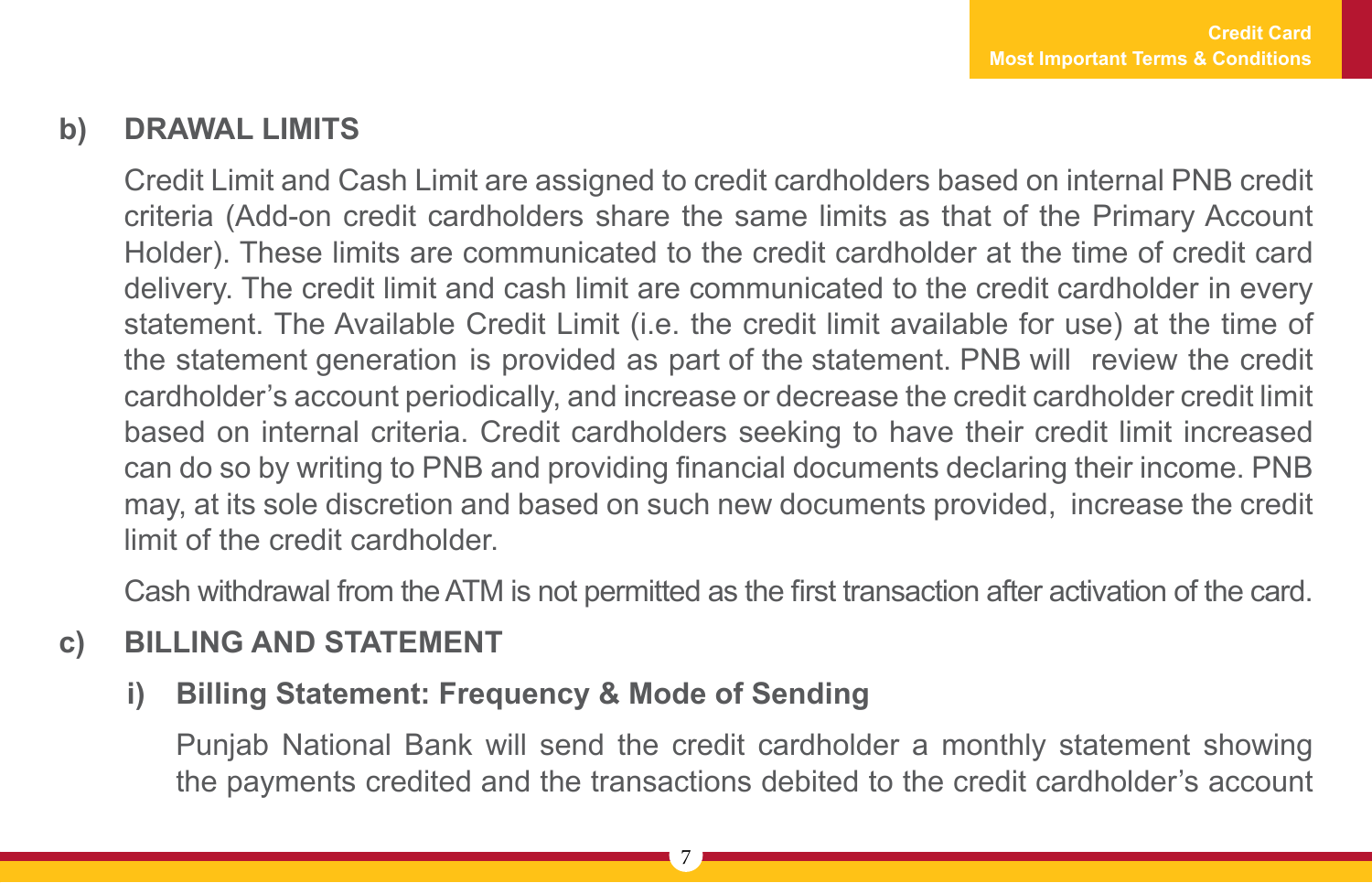## **b) DRAWAL LIMITS**

Credit Limit and Cash Limit are assigned to credit cardholders based on internal PNB credit criteria (Add-on credit cardholders share the same limits as that of the Primary Account Holder). These limits are communicated to the credit cardholder at the time of credit card delivery. The credit limit and cash limit are communicated to the credit cardholder in every statement. The Available Credit Limit (i.e. the credit limit available for use) at the time of the statement generation is provided as part of the statement. PNB will review the credit cardholder's account periodically, and increase or decrease the credit cardholder credit limit based on internal criteria. Credit cardholders seeking to have their credit limit increased can do so by writing to PNB and providing financial documents declaring their income. PNB may, at its sole discretion and based on such new documents provided, increase the credit limit of the credit cardholder.

Cash withdrawal from the ATM is not permitted as the first transaction after activation of the card.

## **c) BILLING AND STATEMENT**

## **i) Billing Statement: Frequency & Mode of Sending**

Punjab National Bank will send the credit cardholder a monthly statement showing the payments credited and the transactions debited to the credit cardholder's account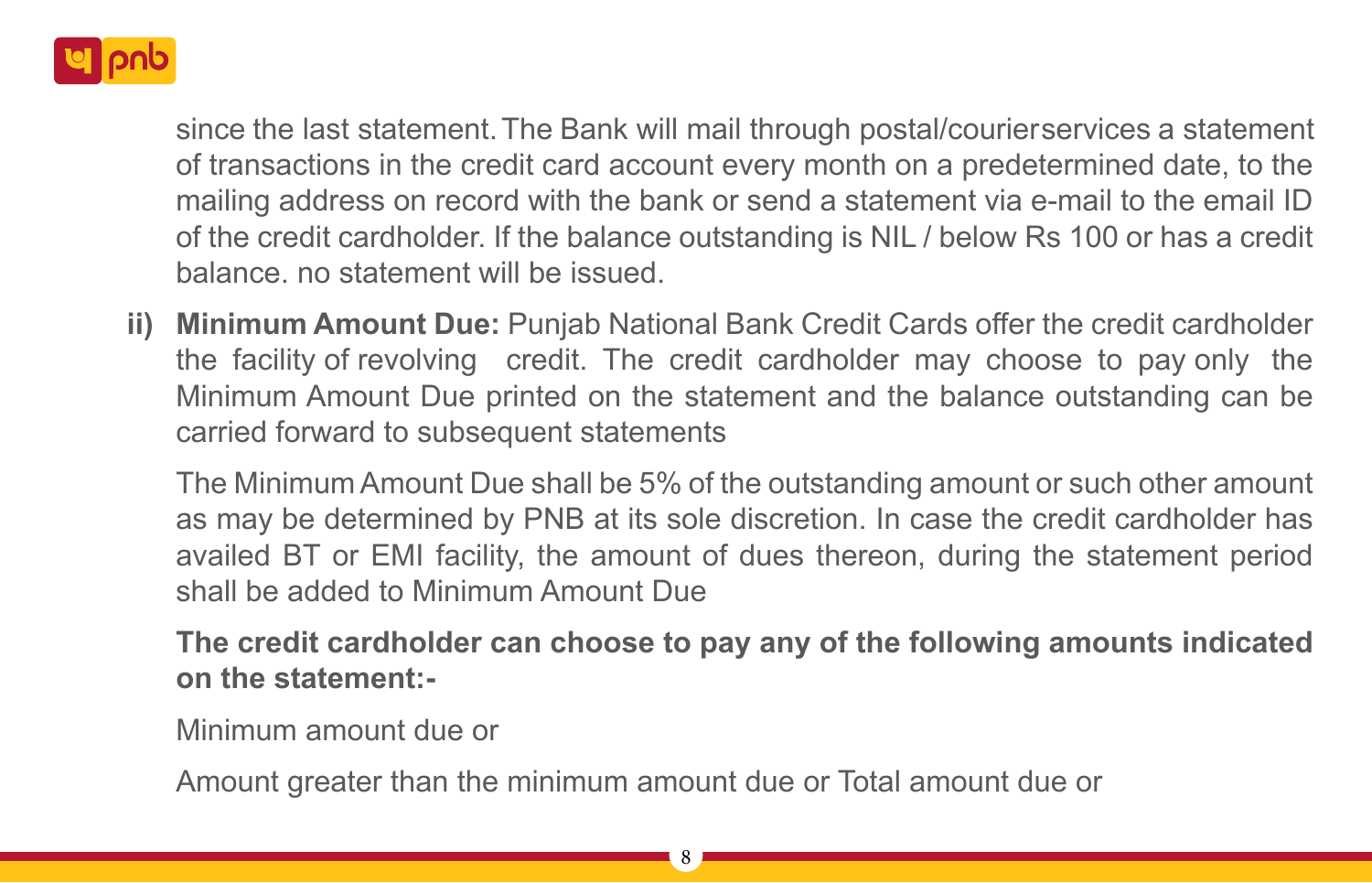

since the last statement. The Bank will mail through postal/courier services a statement of transactions in the credit card account every month on a predetermined date, to the mailing address on record with the bank or send a statement via e-mail to the email ID of the credit cardholder. If the balance outstanding is NIL / below Rs 100 or has a credit balance. no statement will be issued.

**ii) Minimum Amount Due:** Punjab National Bank Credit Cards offer the credit cardholder the facility of revolving credit. The credit cardholder may choose to pay only the Minimum Amount Due printed on the statement and the balance outstanding can be carried forward to subsequent statements

The Minimum Amount Due shall be 5% of the outstanding amount or such other amount as may be determined by PNB at its sole discretion. In case the credit cardholder has availed BT or EMI facility, the amount of dues thereon, during the statement period shall be added to Minimum Amount Due

**The credit cardholder can choose to pay any of the following amounts indicated on the statement:-**

Minimum amount due or

Amount greater than the minimum amount due or Total amount due or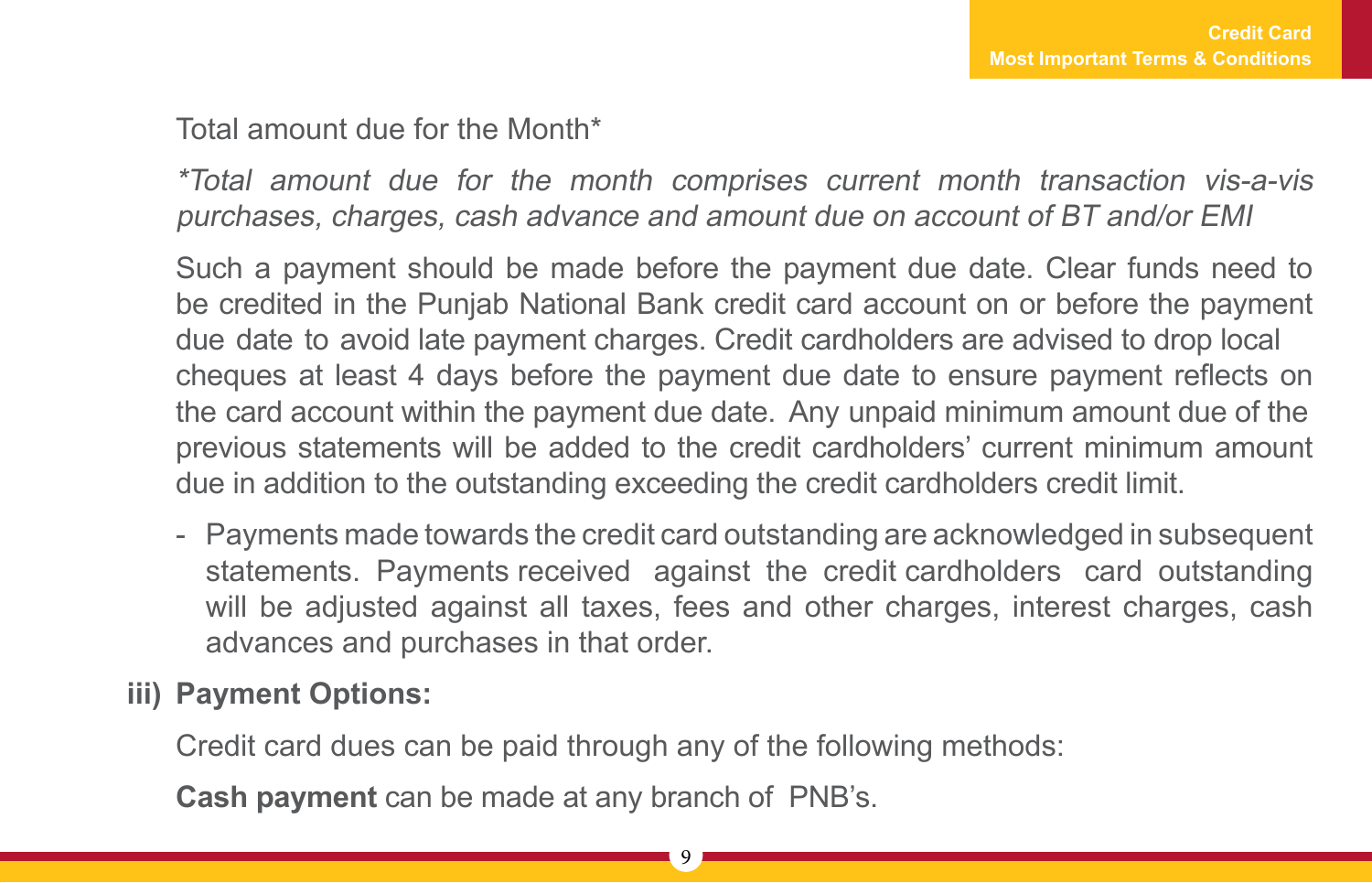#### Total amount due for the Month\*

\*Total amount due for the month comprises current month transaction vis-a-vis purchases, charges, cash advance and amount due on account of BT and/or EMI

Such a payment should be made before the payment due date. Clear funds need to be credited in the Punjab National Bank credit card account on or before the payment due date to avoid late payment charges. Credit cardholders are advised to drop local cheques at least 4 days before the payment due date to ensure payment reflects on the card account within the payment due date. Any unpaid minimum amount due of the previous statements will be added to the credit cardholders' current minimum amount due in addition to the outstanding exceeding the credit cardholders credit limit.

- Payments made towards the credit card outstanding are acknowledged in subsequent statements. Payments received against the credit cardholders card outstanding will be adjusted against all taxes, fees and other charges, interest charges, cash advances and purchases in that order.

## **iii) Payment Options:**

Credit card dues can be paid through any of the following methods:

**Cash payment** can be made at any branch of PNB's.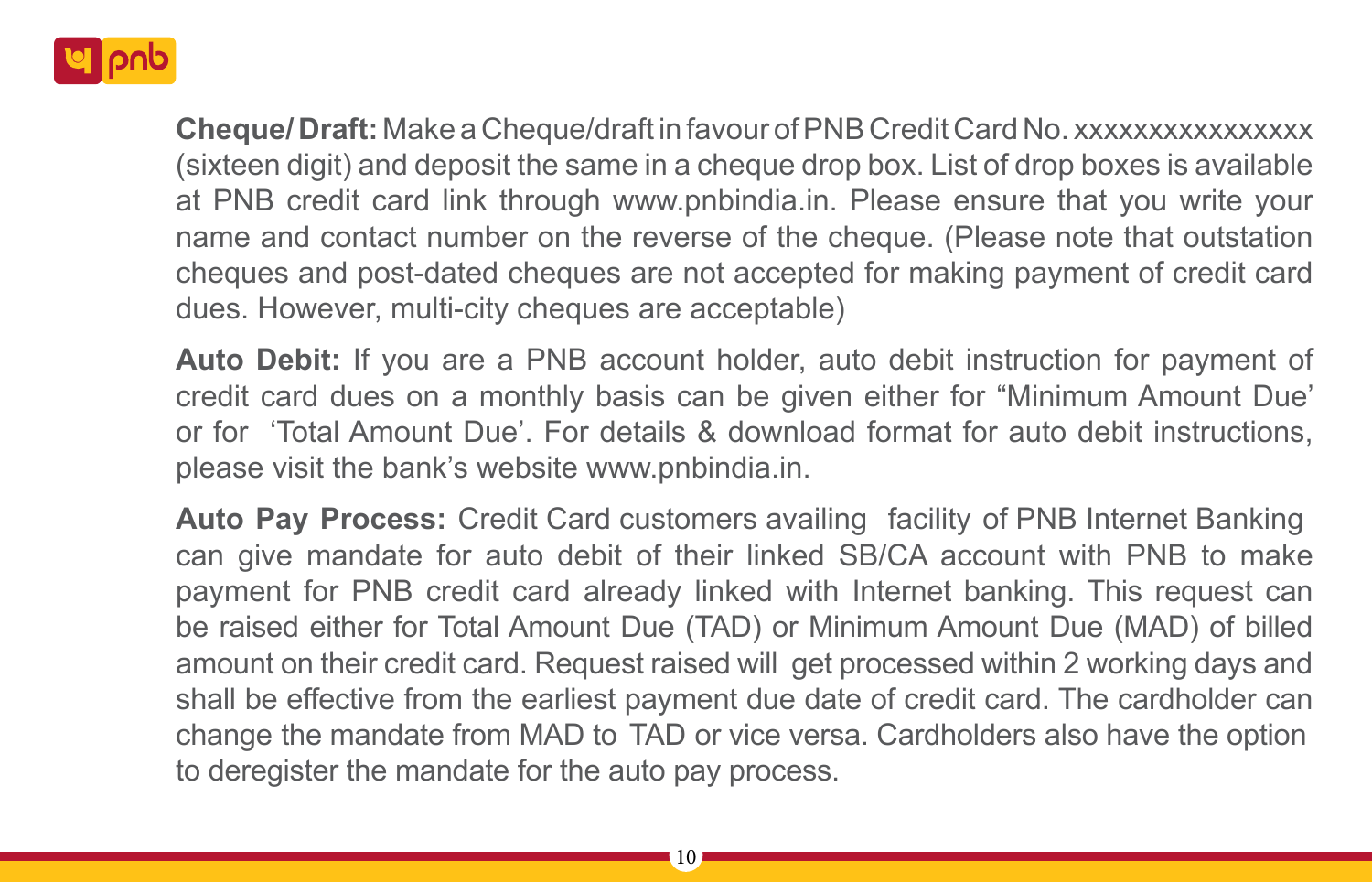

**Cheque/ Draft:** Make a Cheque/draft in favour of PNB Credit Card No. xxxxxxxxxxxxxxxx (sixteen digit) and deposit the same in a cheque drop box. List of drop boxes is available at PNB credit card link through www.pnbindia.in. Please ensure that you write your name and contact number on the reverse of the cheque. (Please note that outstation cheques and post-dated cheques are not accepted for making payment of credit card dues. However, multi-city cheques are acceptable)

**Auto Debit:** If you are a PNB account holder, auto debit instruction for payment of credit card dues on a monthly basis can be given either for "Minimum Amount Due' or for 'Total Amount Due'. For details & download format for auto debit instructions, please visit the bank's website www.pnbindia.in.

**Auto Pay Process:** Credit Card customers availing facility of PNB Internet Banking can give mandate for auto debit of their linked SB/CA account with PNB to make payment for PNB credit card already linked with Internet banking. This request can be raised either for Total Amount Due (TAD) or Minimum Amount Due (MAD) of billed amount on their credit card. Request raised will get processed within 2 working days and shall be effective from the earliest payment due date of credit card. The cardholder can change the mandate from MAD to TAD or vice versa. Cardholders also have the option to deregister the mandate for the auto pay process.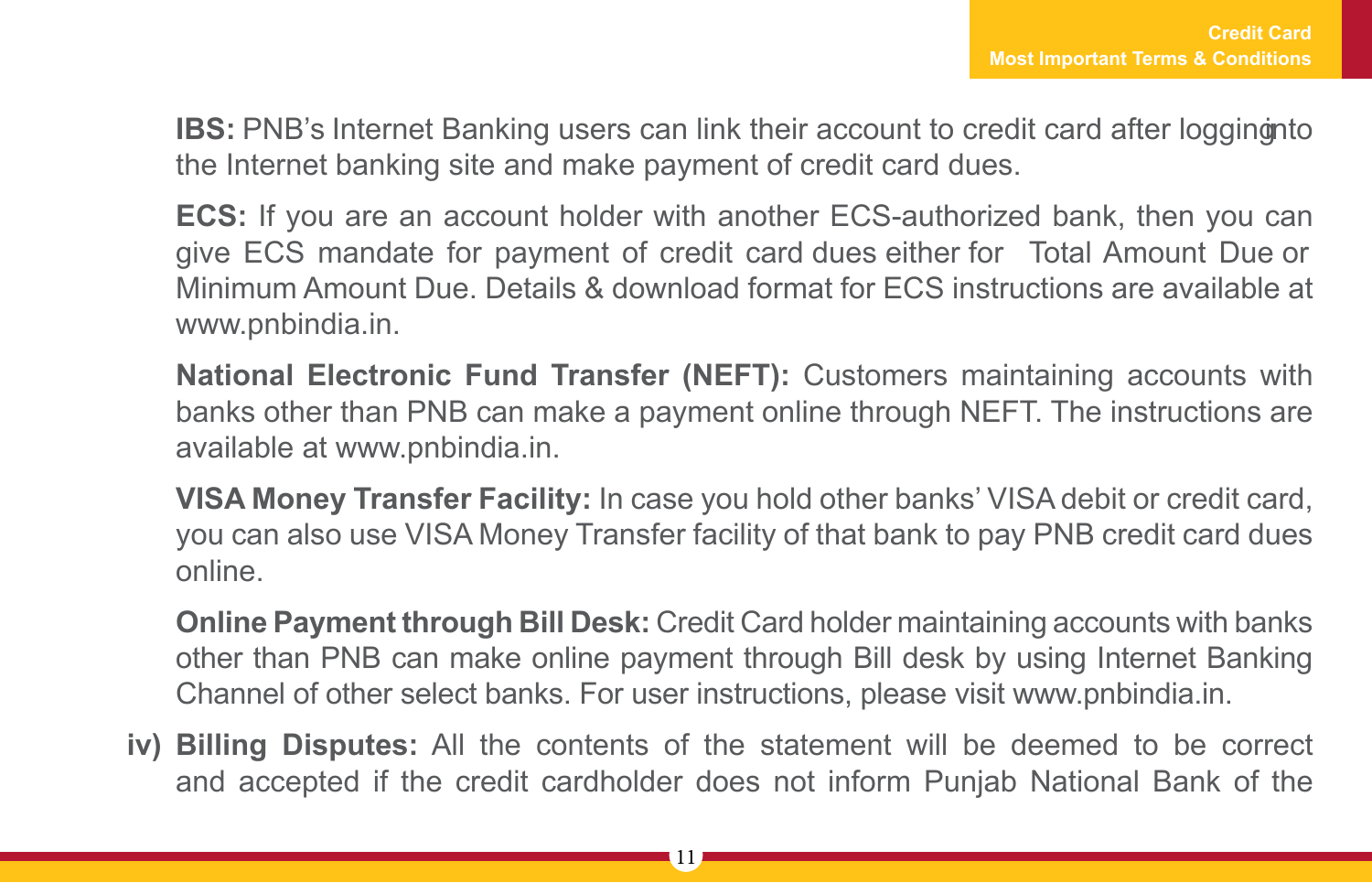**IBS:** PNB's Internet Banking users can link their account to credit card after logging into the Internet banking site and make payment of credit card dues.

**ECS:** If you are an account holder with another ECS-authorized bank, then you can give ECS mandate for payment of credit card dues either for Total Amount Due or Minimum Amount Due. Details & download format for ECS instructions are available at www.pnbindia.in.

**National Electronic Fund Transfer (NEFT):** Customers maintaining accounts with banks other than PNB can make a payment online through NEFT. The instructions are available at www.pnbindia.in.

**VISA Money Transfer Facility:** In case you hold other banks' VISA debit or credit card, you can also use VISA Money Transfer facility of that bank to pay PNB credit card dues online.

**Online Payment through Bill Desk:** Credit Card holder maintaining accounts with banks other than PNB can make online payment through Bill desk by using Internet Banking Channel of other select banks. For user instructions, please visit www.pnbindia.in.

**iv) Billing Disputes:** All the contents of the statement will be deemed to be correct and accepted if the credit cardholder does not inform Punjab National Bank of the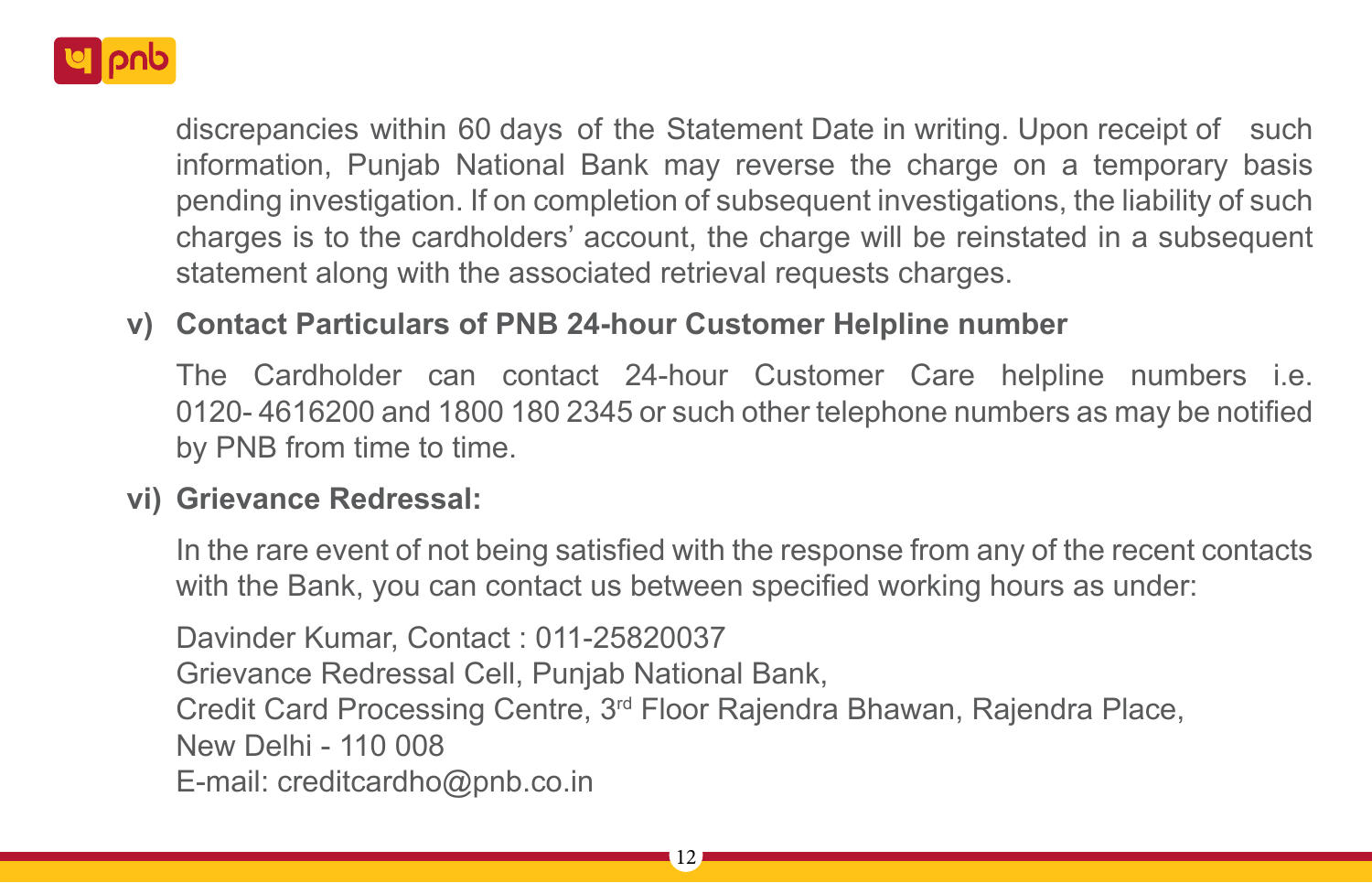

discrepancies within 60 days of the Statement Date in writing. Upon receipt of such information, Punjab National Bank may reverse the charge on a temporary basis pending investigation. If on completion of subsequent investigations, the liability of such charges is to the cardholders' account, the charge will be reinstated in a subsequent statement along with the associated retrieval requests charges.

## **v) Contact Particulars of PNB 24-hour Customer Helpline number**

The Cardholder can contact 24-hour Customer Care helpline numbers i.e. 0120- 4616200 and 1800 180 2345 or such other telephone numbers as may be notified by PNB from time to time.

## **vi) Grievance Redressal:**

In the rare event of not being satisfied with the response from any of the recent contacts with the Bank, you can contact us between specified working hours as under:

Davinder Kumar, Contact : 011-25820037

Grievance Redressal Cell, Punjab National Bank,

Credit Card Processing Centre, 3rd Floor Rajendra Bhawan, Rajendra Place,

New Delhi - 110 008

E-mail: creditcardho@pnb.co.in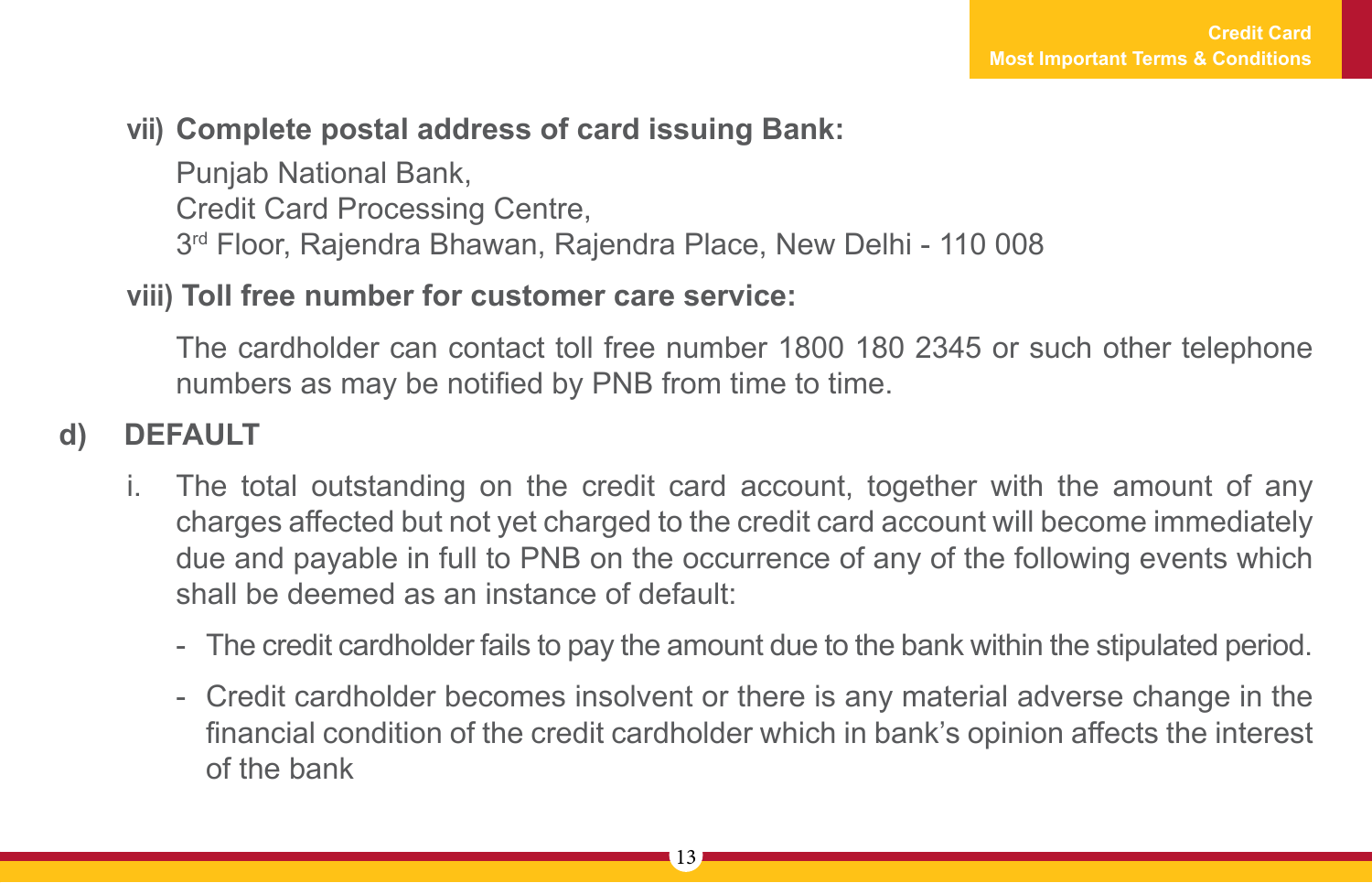## **vii) Complete postal address of card issuing Bank:**

Punjab National Bank,

Credit Card Processing Centre,

3rd Floor, Rajendra Bhawan, Rajendra Place, New Delhi - 110 008

#### **viii) Toll free number for customer care service:**

The cardholder can contact toll free number 1800 180 2345 or such other telephone numbers as may be notified by PNB from time to time.

## **d) DEFAULT**

- i. The total outstanding on the credit card account, together with the amount of any charges affected but not yet charged to the credit card account will become immediately due and payable in full to PNB on the occurrence of any of the following events which shall be deemed as an instance of default:
	- The credit cardholder fails to pay the amount due to the bank within the stipulated period.
	- Credit cardholder becomes insolvent or there is any material adverse change in the financial condition of the credit cardholder which in bank's opinion affects the interest of the bank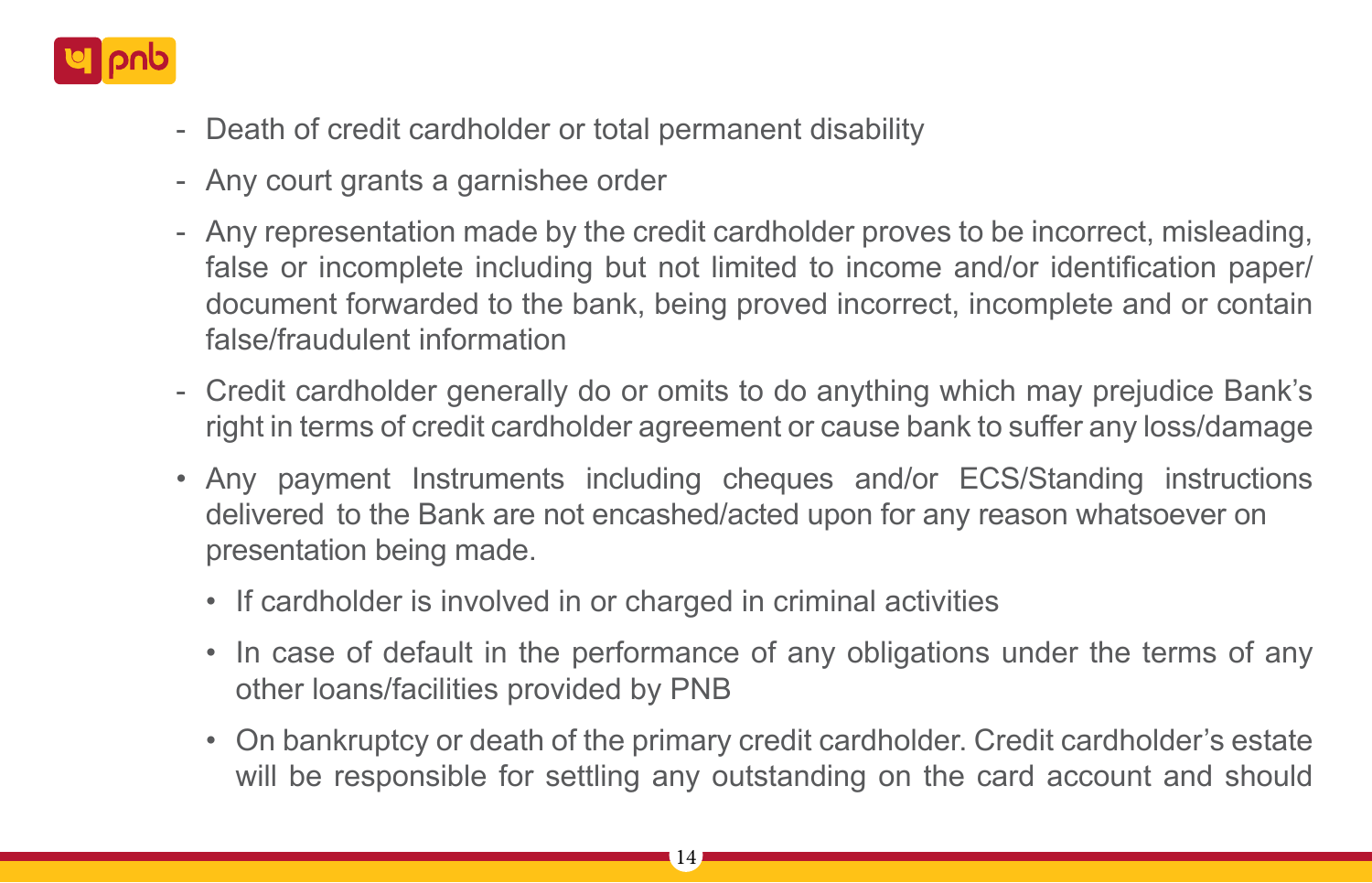

- Death of credit cardholder or total permanent disability
- Any court grants a garnishee order
- Any representation made by the credit cardholder proves to be incorrect, misleading, false or incomplete including but not limited to income and/or identification paper/ document forwarded to the bank, being proved incorrect, incomplete and or contain false/fraudulent information
- Credit cardholder generally do or omits to do anything which may prejudice Bank's right in terms of credit cardholder agreement or cause bank to suffer any loss/damage
- Any payment Instruments including cheques and/or ECS/Standing instructions delivered to the Bank are not encashed/acted upon for any reason whatsoever on presentation being made.
	- If cardholder is involved in or charged in criminal activities
	- In case of default in the performance of any obligations under the terms of any other loans/facilities provided by PNB
	- On bankruptcy or death of the primary credit cardholder. Credit cardholder's estate will be responsible for settling any outstanding on the card account and should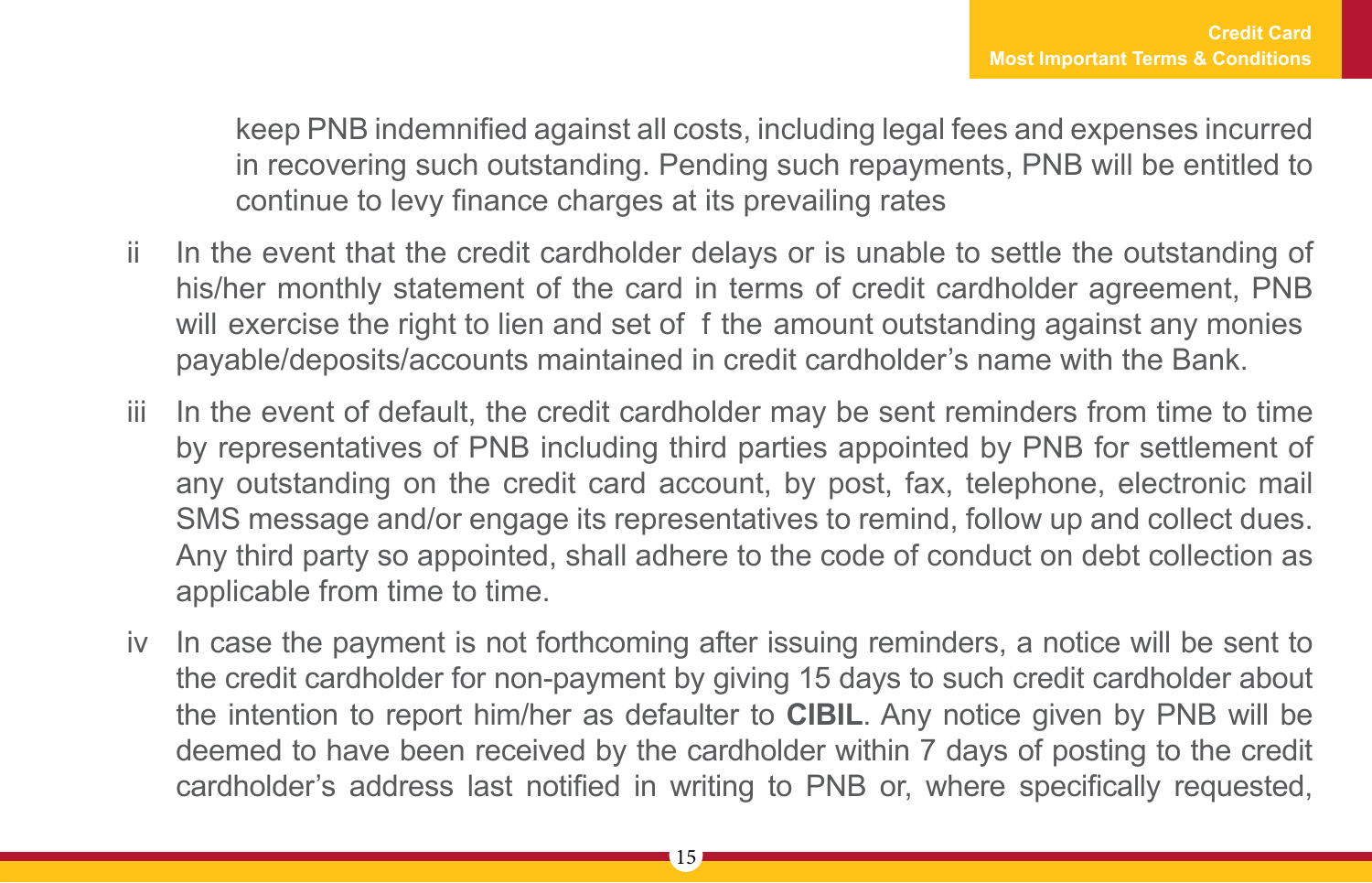keep PNB indemnified against all costs, including legal fees and expenses incurred in recovering such outstanding. Pending such repayments, PNB will be entitled to continue to levy finance charges at its prevailing rates

- ii In the event that the credit cardholder delays or is unable to settle the outstanding of his/her monthly statement of the card in terms of credit cardholder agreement, PNB will exercise the right to lien and set of f the amount outstanding against any monies payable/deposits/accounts maintained in credit cardholder's name with the Bank.
- iii In the event of default, the credit cardholder may be sent reminders from time to time by representatives of PNB including third parties appointed by PNB for settlement of any outstanding on the credit card account, by post, fax, telephone, electronic mail SMS message and/or engage its representatives to remind, follow up and collect dues. Any third party so appointed, shall adhere to the code of conduct on debt collection as applicable from time to time.
- iv In case the payment is not forthcoming after issuing reminders, a notice will be sent to the credit cardholder for non-payment by giving 15 days to such credit cardholder about the intention to report him/her as defaulter to **CIBIL**. Any notice given by PNB will be deemed to have been received by the cardholder within 7 days of posting to the credit cardholder's address last notified in writing to PNB or, where specifically requested,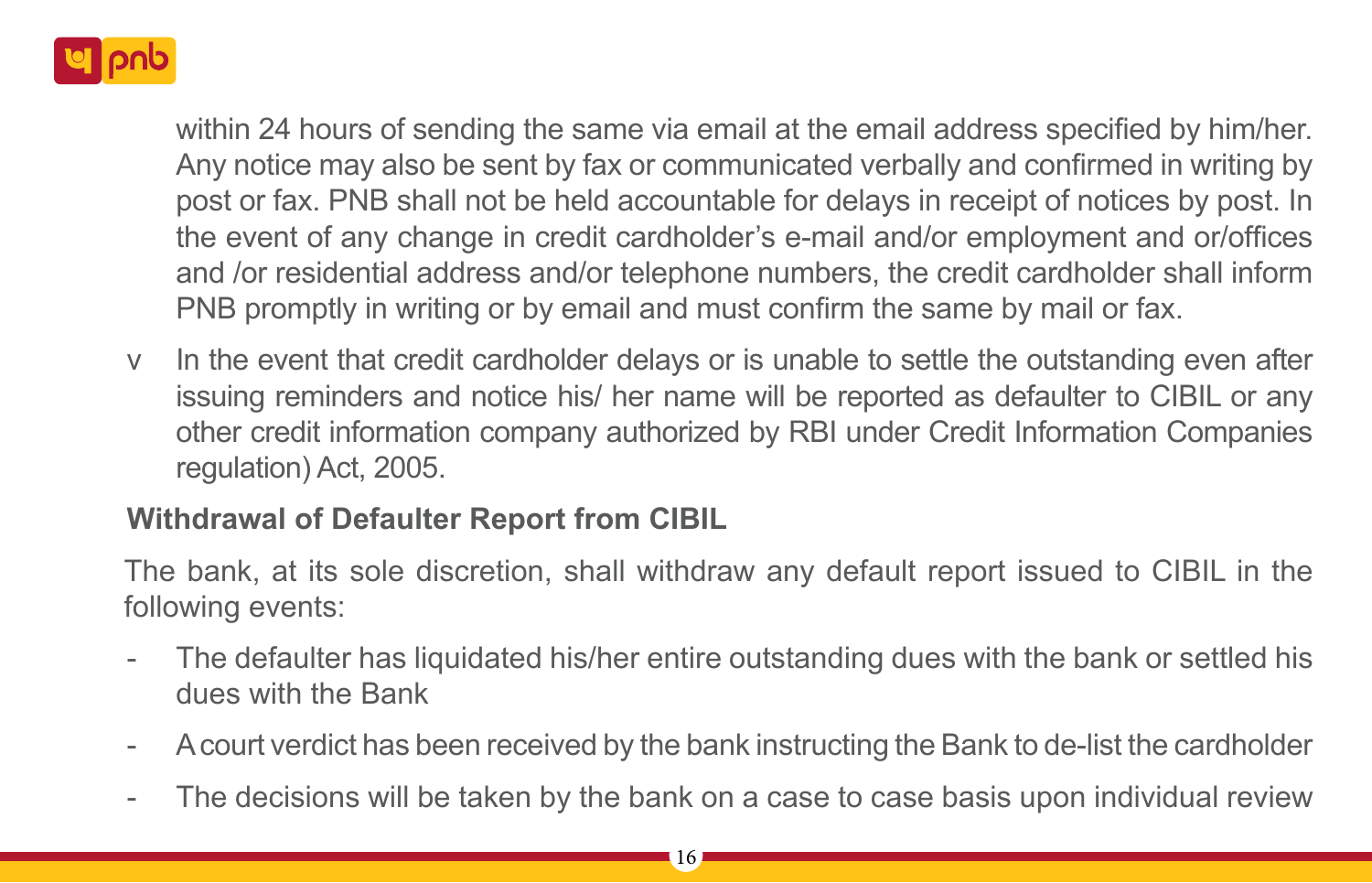

within 24 hours of sending the same via email at the email address specified by him/her. Any notice may also be sent by fax or communicated verbally and confirmed in writing by post or fax. PNB shall not be held accountable for delays in receipt of notices by post. In the event of any change in credit cardholder's e-mail and/or employment and or/offices and /or residential address and/or telephone numbers, the credit cardholder shall inform PNB promptly in writing or by email and must confirm the same by mail or fax.

v In the event that credit cardholder delays or is unable to settle the outstanding even after issuing reminders and notice his/ her name will be reported as defaulter to CIBIL or any other credit information company authorized by RBI under Credit Information Companies regulation) Act, 2005.

## **Withdrawal of Defaulter Report from CIBIL**

The bank, at its sole discretion, shall withdraw any default report issued to CIBIL in the following events:

- The defaulter has liquidated his/her entire outstanding dues with the bank or settled his dues with the Bank
- A court verdict has been received by the bank instructing the Bank to de-list the cardholder
- The decisions will be taken by the bank on a case to case basis upon individual review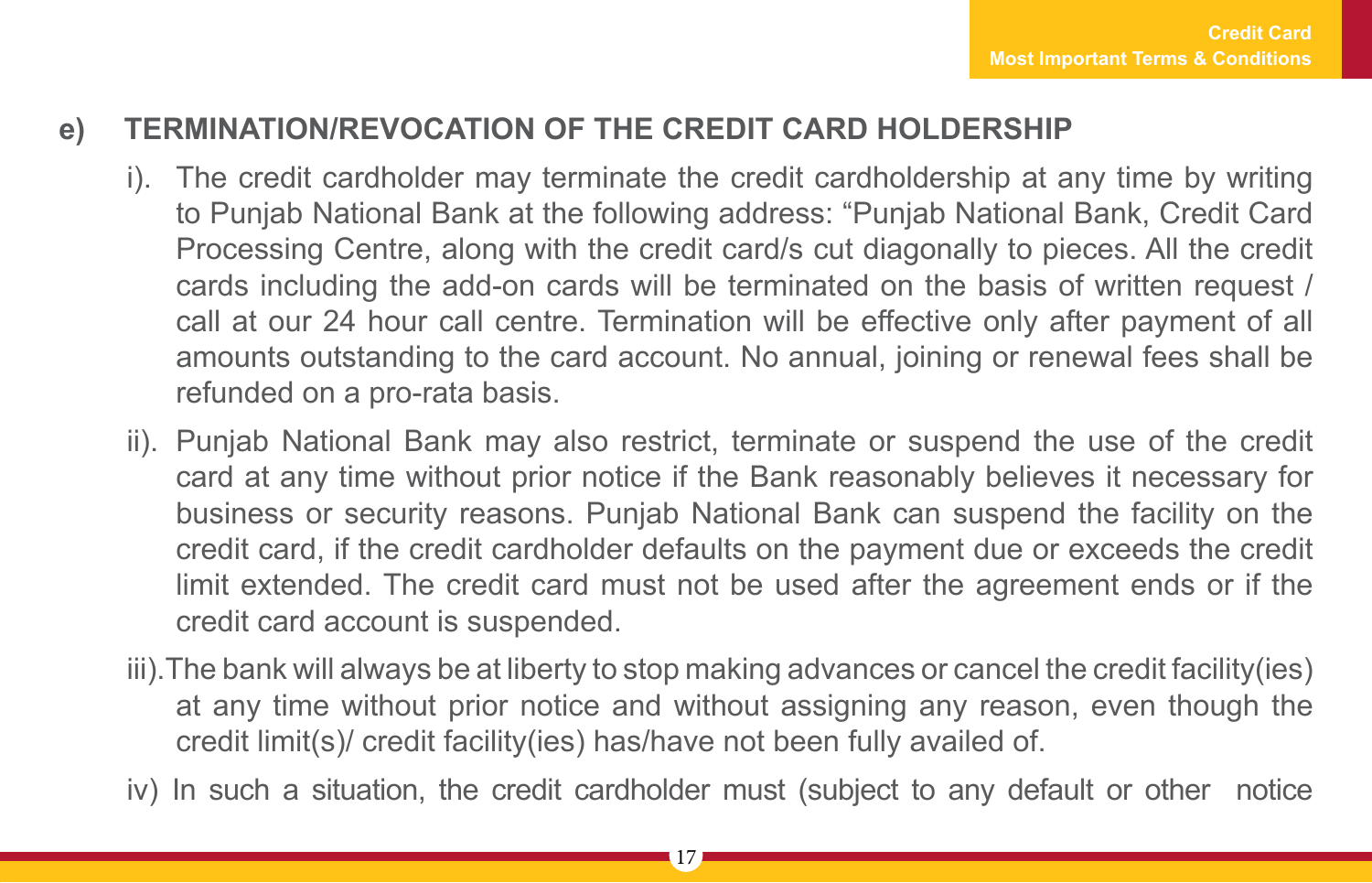## **e) TERMINATION/REVOCATION OF THE CREDIT CARD HOLDERSHIP**

- i). The credit cardholder may terminate the credit cardholdership at any time by writing to Punjab National Bank at the following address: "Punjab National Bank, Credit Card Processing Centre, along with the credit card/s cut diagonally to pieces. All the credit cards including the add-on cards will be terminated on the basis of written request / call at our 24 hour call centre. Termination will be effective only after payment of all amounts outstanding to the card account. No annual, joining or renewal fees shall be refunded on a pro-rata basis.
- ii). Punjab National Bank may also restrict, terminate or suspend the use of the credit card at any time without prior notice if the Bank reasonably believes it necessary for business or security reasons. Punjab National Bank can suspend the facility on the credit card, if the credit cardholder defaults on the payment due or exceeds the credit limit extended. The credit card must not be used after the agreement ends or if the credit card account is suspended.
- iii).The bank will always be at liberty to stop making advances or cancel the credit facility(ies) at any time without prior notice and without assigning any reason, even though the credit limit(s)/ credit facility(ies) has/have not been fully availed of.
- iv) In such a situation, the credit cardholder must (subject to any default or other notice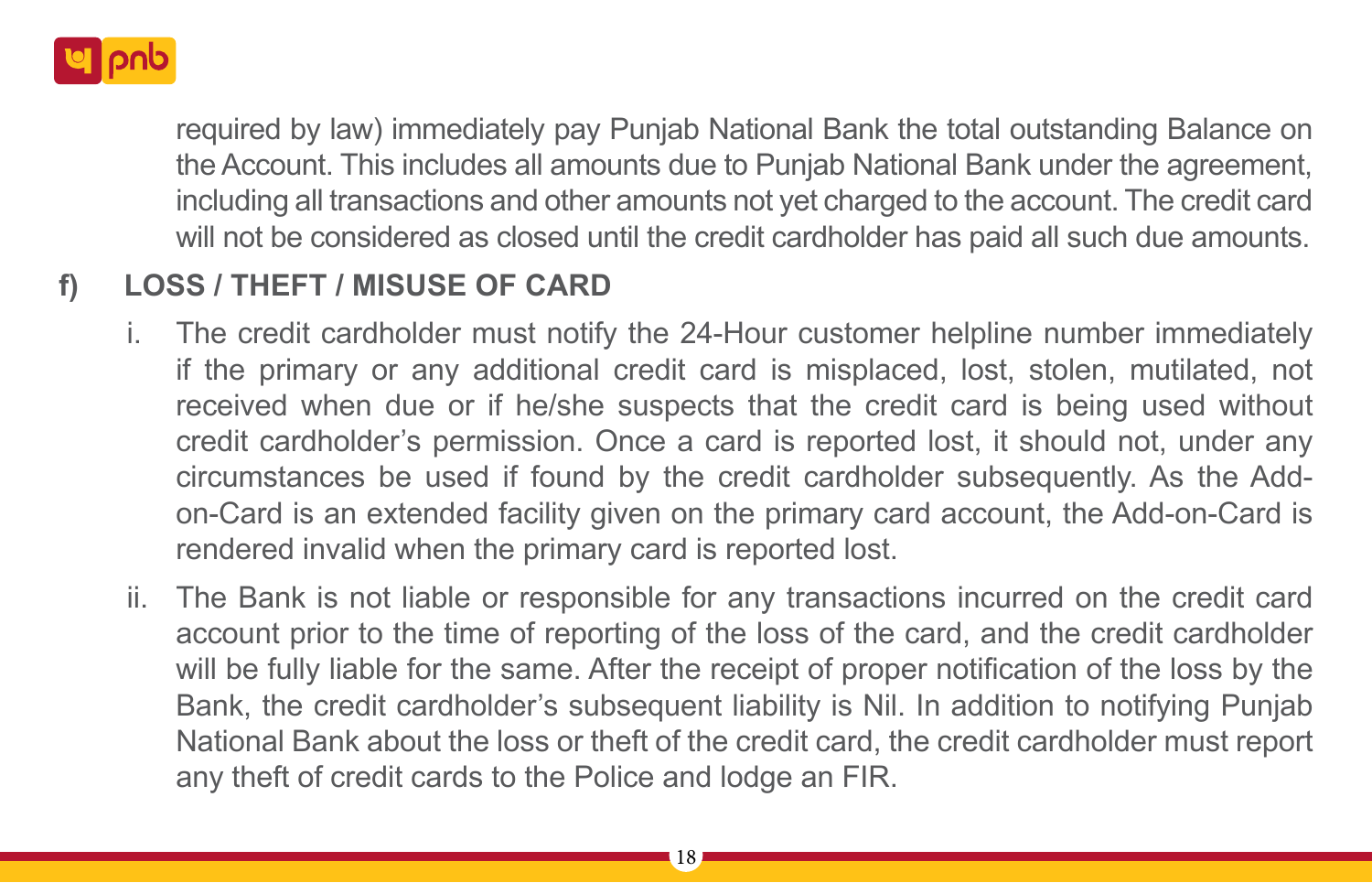

required by law) immediately pay Punjab National Bank the total outstanding Balance on the Account. This includes all amounts due to Punjab National Bank under the agreement, including all transactions and other amounts not yet charged to the account. The credit card will not be considered as closed until the credit cardholder has paid all such due amounts.

## **f) LOSS / THEFT / MISUSE OF CARD**

- The credit cardholder must notify the 24-Hour customer helpline number immediately if the primary or any additional credit card is misplaced, lost, stolen, mutilated, not received when due or if he/she suspects that the credit card is being used without credit cardholder's permission. Once a card is reported lost, it should not, under any circumstances be used if found by the credit cardholder subsequently. As the Addon-Card is an extended facility given on the primary card account, the Add-on-Card is rendered invalid when the primary card is reported lost.
- ii. The Bank is not liable or responsible for any transactions incurred on the credit card account prior to the time of reporting of the loss of the card, and the credit cardholder will be fully liable for the same. After the receipt of proper notification of the loss by the Bank, the credit cardholder's subsequent liability is Nil. In addition to notifying Punjab National Bank about the loss or theft of the credit card, the credit cardholder must report any theft of credit cards to the Police and lodge an FIR.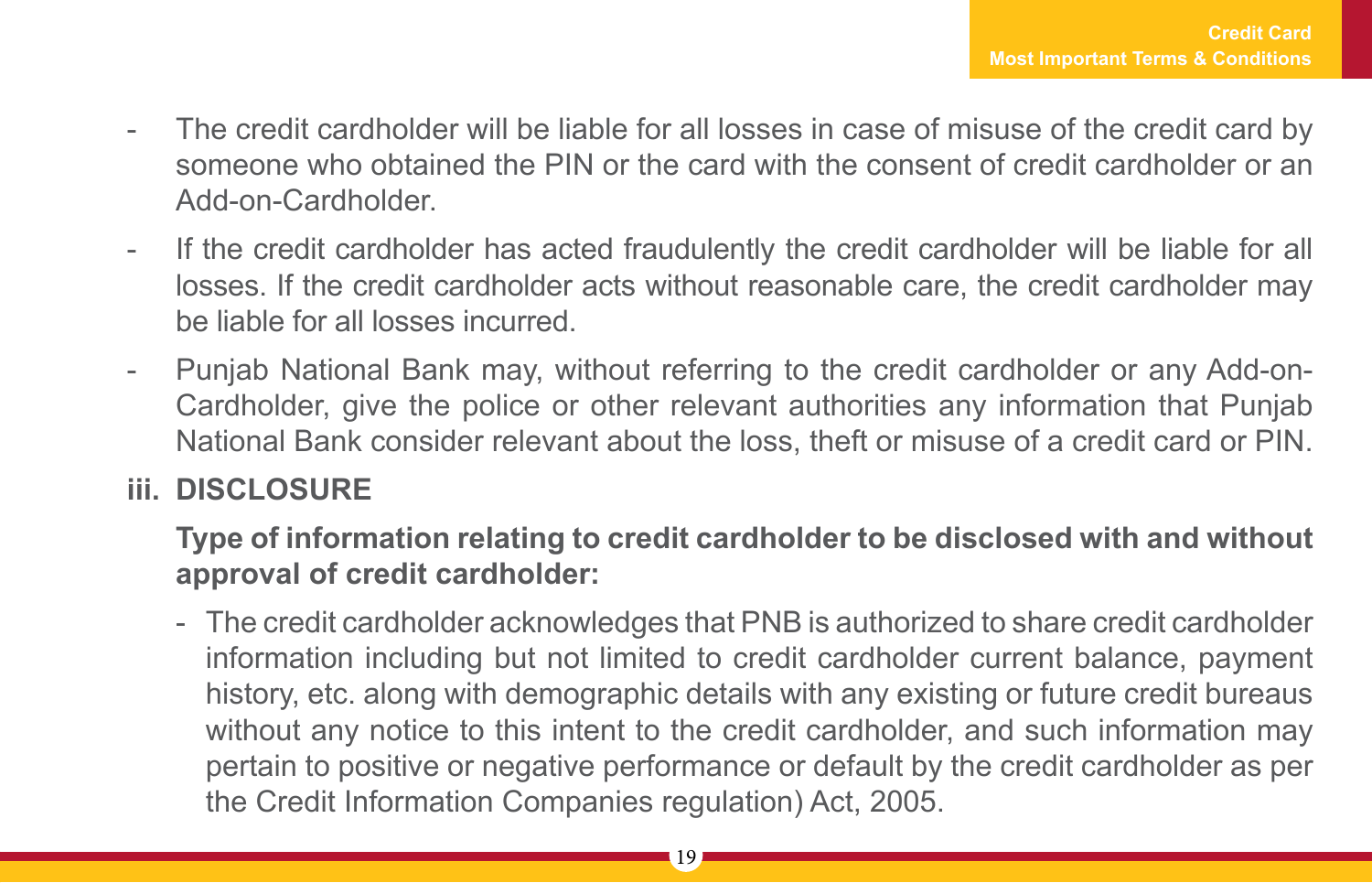- The credit cardholder will be liable for all losses in case of misuse of the credit card by someone who obtained the PIN or the card with the consent of credit cardholder or an Add-on-Cardholder.
- If the credit cardholder has acted fraudulently the credit cardholder will be liable for all losses. If the credit cardholder acts without reasonable care, the credit cardholder may be liable for all losses incurred.
- Punjab National Bank may, without referring to the credit cardholder or any Add-on-Cardholder, give the police or other relevant authorities any information that Punjab National Bank consider relevant about the loss, theft or misuse of a credit card or PIN.

## **iii. DISCLOSURE**

**Type of information relating to credit cardholder to be disclosed with and without approval of credit cardholder:**

- The credit cardholder acknowledges that PNB is authorized to share credit cardholder information including but not limited to credit cardholder current balance, payment history, etc. along with demographic details with any existing or future credit bureaus without any notice to this intent to the credit cardholder, and such information may pertain to positive or negative performance or default by the credit cardholder as per the Credit Information Companies regulation) Act, 2005.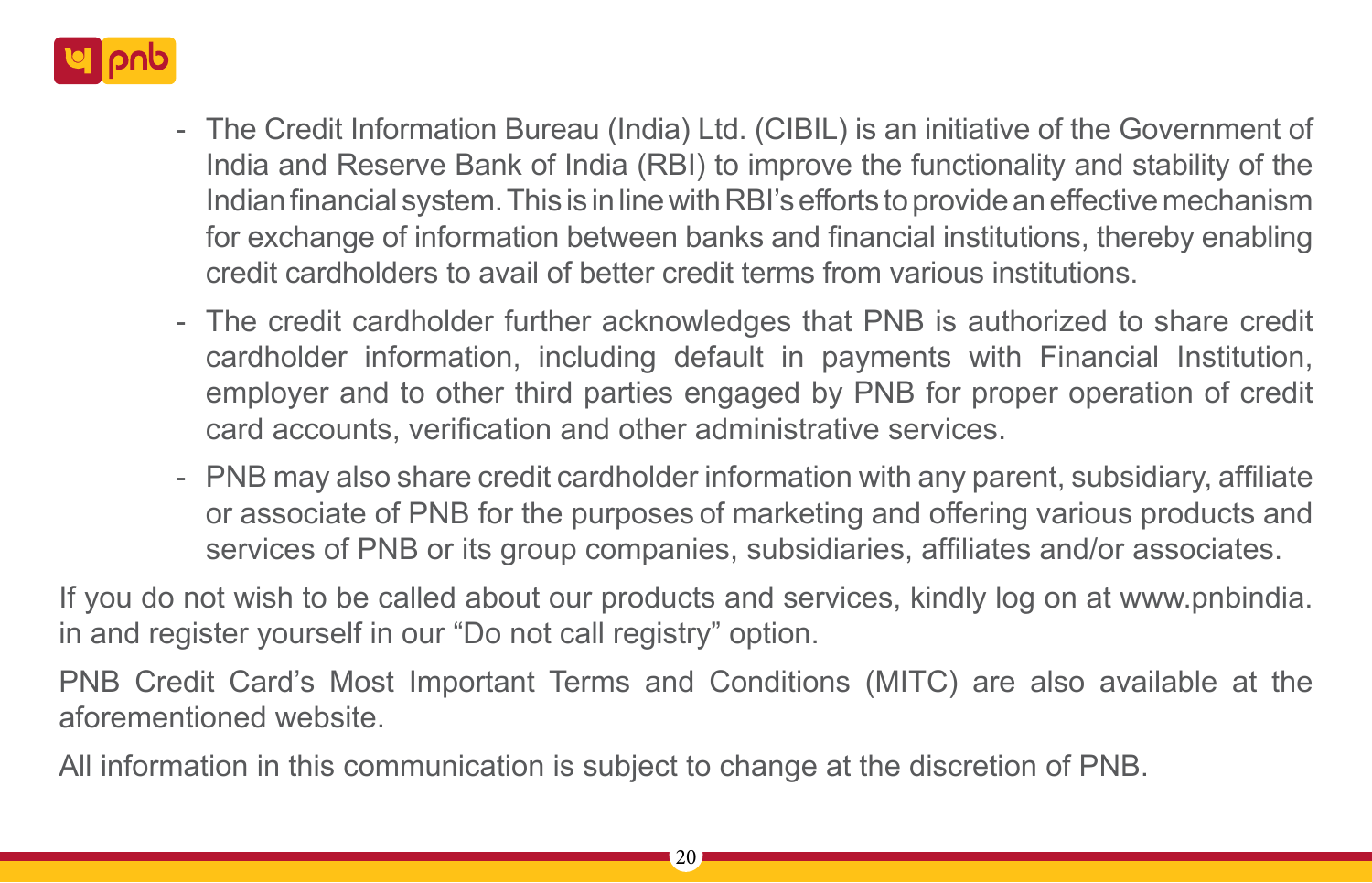

- The Credit Information Bureau (India) Ltd. (CIBIL) is an initiative of the Government of India and Reserve Bank of India (RBI) to improve the functionality and stability of the Indian financial system. This is in line with RBI's efforts to provide an effective mechanism for exchange of information between banks and financial institutions, thereby enabling credit cardholders to avail of better credit terms from various institutions.
- The credit cardholder further acknowledges that PNB is authorized to share credit cardholder information, including default in payments with Financial Institution, employer and to other third parties engaged by PNB for proper operation of credit card accounts, verification and other administrative services.
- PNB may also share credit cardholder information with any parent, subsidiary, affiliate or associate of PNB for the purposes of marketing and offering various products and services of PNB or its group companies, subsidiaries, affiliates and/or associates.

If you do not wish to be called about our products and services, kindly log on at www.pnbindia. in and register yourself in our "Do not call registry" option.

PNB Credit Card's Most Important Terms and Conditions (MITC) are also available at the aforementioned website.

All information in this communication is subject to change at the discretion of PNB.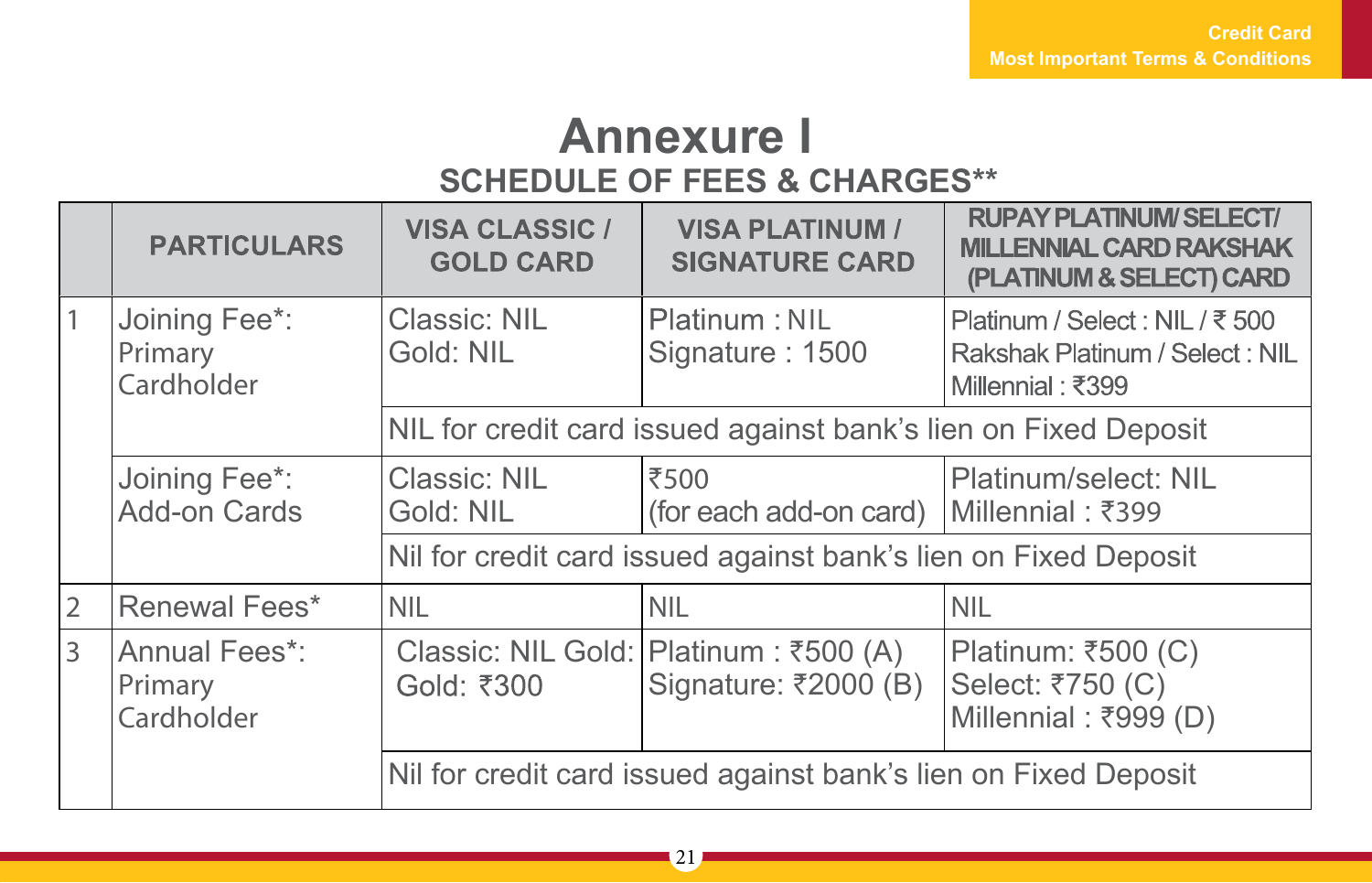## **Annexure I SCHEDULE OF FEES & CHARGES\*\***

|                | <b>PARTICULARS</b>                     | <b>VISA CLASSIC /</b><br><b>GOLD CARD</b>                       | <b>VISA PLATINUM /</b><br><b>SIGNATURE CARD</b>                 | <b>RUPAY PLATINUM/SELECT/</b><br><b>MILLENNIAL CARD RAKSHAK</b><br>(PLATINUM & SELECT) CARD |
|----------------|----------------------------------------|-----------------------------------------------------------------|-----------------------------------------------------------------|---------------------------------------------------------------------------------------------|
|                | Joining Fee*:<br>Primary<br>Cardholder | Classic: NIL<br>Gold: NIL                                       | Platinum: NIL<br>Signature: 1500                                | Platinum / Select : NIL / ₹ 500<br>Rakshak Platinum / Select: NIL<br>Millennial: ₹399       |
|                |                                        | NIL for credit card issued against bank's lien on Fixed Deposit |                                                                 |                                                                                             |
|                | Joining Fee*:<br>Add-on Cards          | Classic: NIL<br>Gold: NIL                                       | ₹500<br>(for each add-on card)   Millennial : ₹399              | Platinum/select: NIL                                                                        |
|                |                                        |                                                                 | Nil for credit card issued against bank's lien on Fixed Deposit |                                                                                             |
| $\overline{2}$ | Renewal Fees*                          | <b>NIL</b>                                                      | <b>NIL</b>                                                      | <b>NIL</b>                                                                                  |
| $\mathbf{R}$   | Annual Fees*:<br>Primary<br>Cardholder | Gold: ₹300                                                      | Classic: NIL Gold: Platinum : ₹500 (A)<br>Signature: ₹2000 (B)  | Platinum: ₹500 (C)<br>Select: ₹750 (C)<br>Millennial: ₹999 (D)                              |
|                |                                        |                                                                 | Nil for credit card issued against bank's lien on Fixed Deposit |                                                                                             |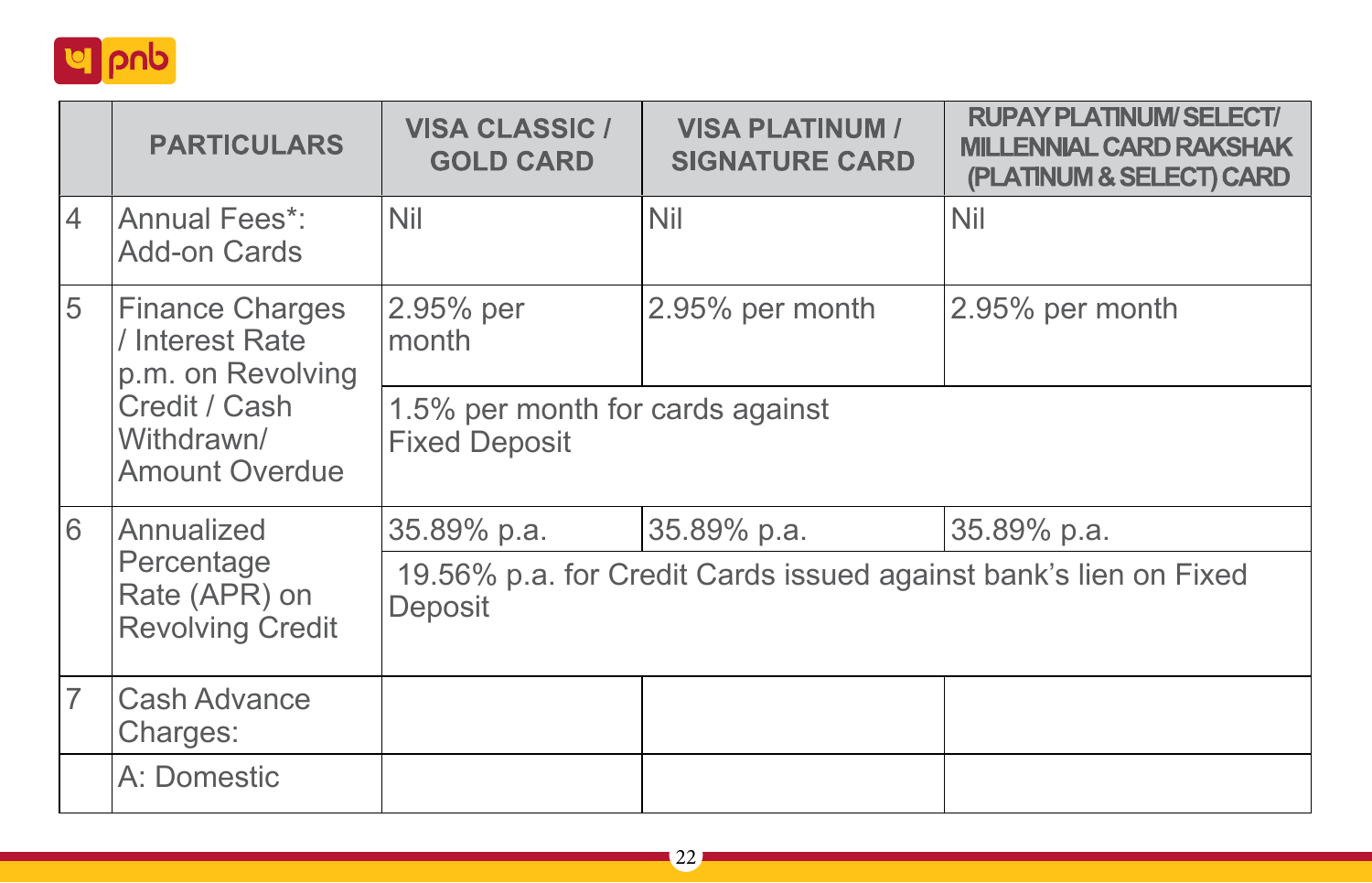

|                                                        | <b>PARTICULARS</b>                                             | <b>VISA CLASSIC /</b><br><b>GOLD CARD</b>                | <b>VISA PLATINUM /</b><br><b>SIGNATURE CARD</b> | <b>RUPAY PLATINUM/SELECT/</b><br><b>MILLENNIAL CARD RAKSHAK</b><br>(PLATINUM & SELECT) CARD |  |
|--------------------------------------------------------|----------------------------------------------------------------|----------------------------------------------------------|-------------------------------------------------|---------------------------------------------------------------------------------------------|--|
| 4                                                      | Annual Fees*:<br>Add-on Cards                                  | Nil                                                      | <b>Nil</b>                                      | Nil                                                                                         |  |
| 5                                                      | <b>Finance Charges</b><br>/ Interest Rate<br>p.m. on Revolving | 2.95% per<br>month                                       | 2.95% per month                                 | 2.95% per month                                                                             |  |
|                                                        | Credit / Cash<br>Withdrawn/<br><b>Amount Overdue</b>           | 1.5% per month for cards against<br><b>Fixed Deposit</b> |                                                 |                                                                                             |  |
| 6                                                      | Annualized                                                     | 35.89% p.a.                                              | 35.89% p.a.                                     | 35.89% p.a.                                                                                 |  |
| Percentage<br>Rate (APR) on<br><b>Revolving Credit</b> |                                                                | Deposit                                                  |                                                 | 19.56% p.a. for Credit Cards issued against bank's lien on Fixed                            |  |
| $\overline{7}$                                         | Cash Advance<br>Charges:                                       |                                                          |                                                 |                                                                                             |  |
|                                                        | A: Domestic                                                    |                                                          |                                                 |                                                                                             |  |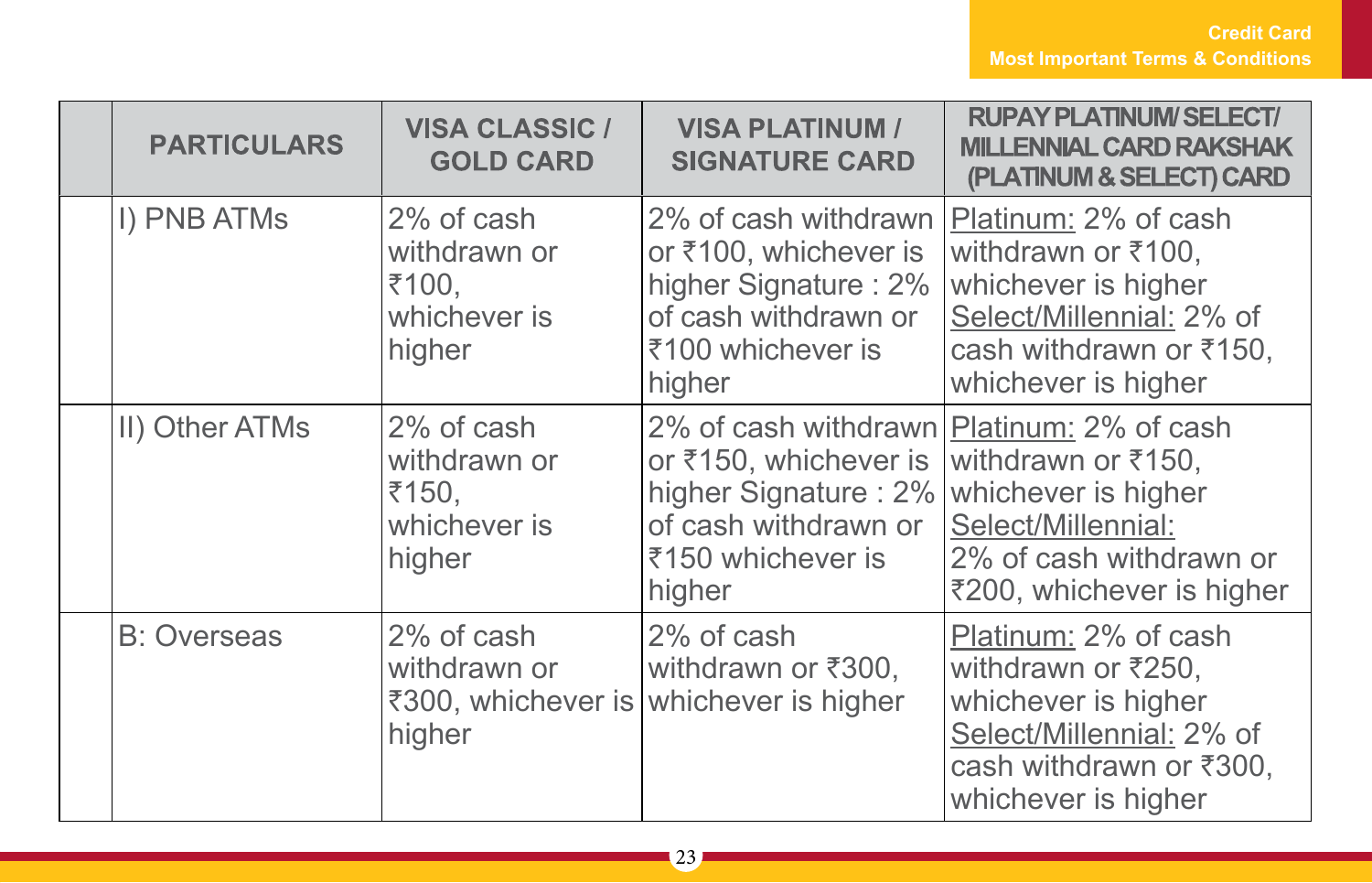| <b>PARTICULARS</b> | <b>VISA CLASSIC /</b><br><b>GOLD CARD</b>                     | <b>VISA PLATINUM /</b><br><b>SIGNATURE CARD</b>                                                                                                   | <b>RUPAY PLATINUM/SELECT/</b><br><b>MILLENNIAL CARD RAKSHAK</b><br>(PLATINUM & SELECT) CARD                                                     |
|--------------------|---------------------------------------------------------------|---------------------------------------------------------------------------------------------------------------------------------------------------|-------------------------------------------------------------------------------------------------------------------------------------------------|
| I) PNB ATMs        | 2% of cash<br>withdrawn or<br>₹100,<br>whichever is<br>higher | 2% of cash withdrawn<br>or ₹100, whichever is<br>higher Signature: 2%<br>of cash withdrawn or<br>₹100 whichever is<br>higher                      | Platinum: 2% of cash<br>withdrawn or ₹100,<br>whichever is higher<br>Select/Millennial: 2% of<br>cash withdrawn or ₹150,<br>whichever is higher |
| II) Other ATMs     | 2% of cash<br>withdrawn or<br>₹150,<br>whichever is<br>higher | 2% of cash withdrawn Platinum: 2% of cash<br>or ₹150, whichever is<br>higher Signature: 2%<br>of cash withdrawn or<br>₹150 whichever is<br>higher | withdrawn or ₹150,<br>whichever is higher<br>Select/Millennial:<br>2% of cash withdrawn or<br>₹200, whichever is higher                         |
| <b>B: Overseas</b> | 2% of cash<br>withdrawn or<br>higher                          | 2% of cash<br>withdrawn or ₹300,<br>₹300, whichever is whichever is higher                                                                        | Platinum: 2% of cash<br>withdrawn or ₹250,<br>whichever is higher<br>Select/Millennial: 2% of<br>cash withdrawn or ₹300,<br>whichever is higher |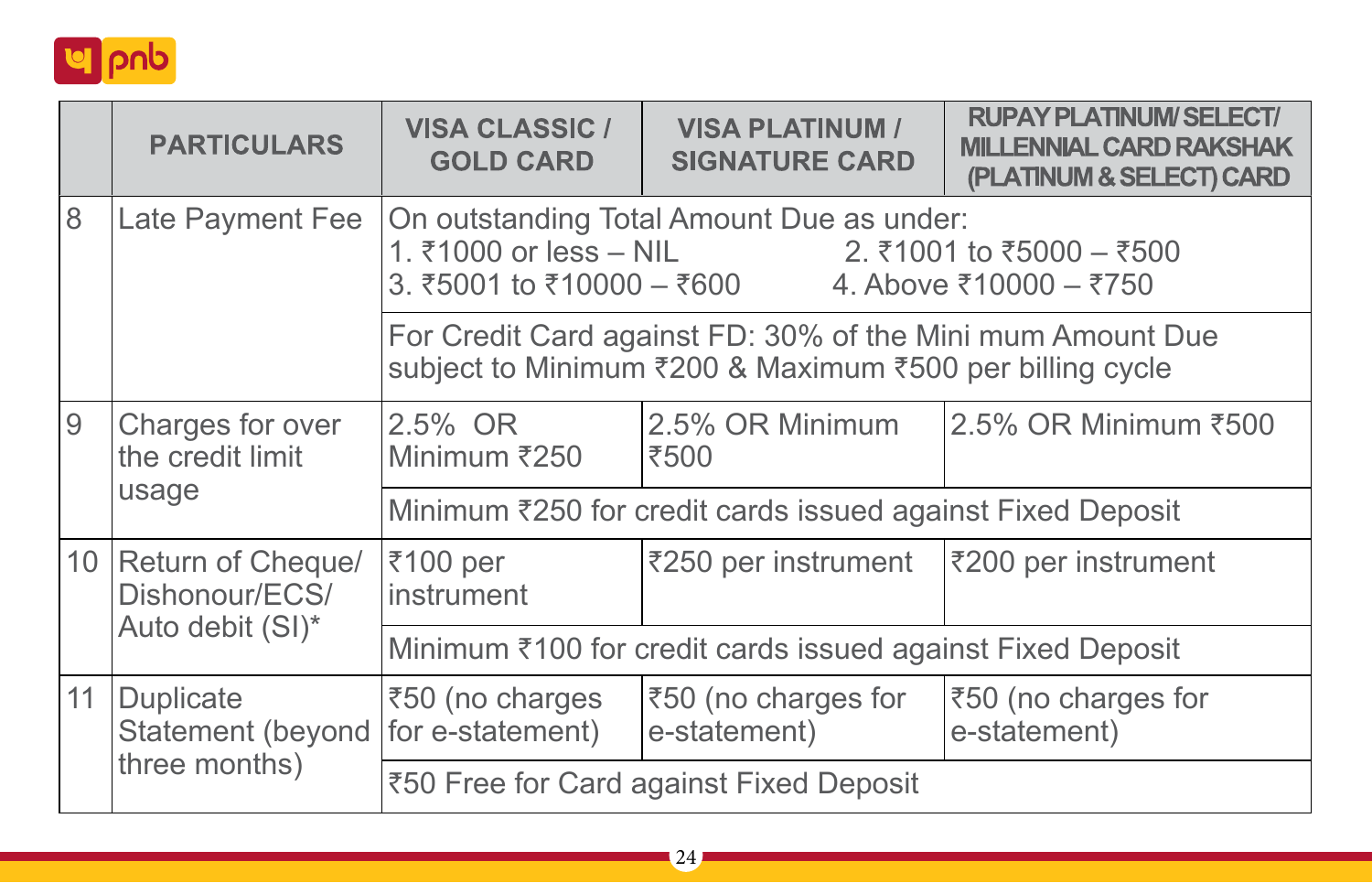

|               | <b>PARTICULARS</b>                     | <b>VISA CLASSIC /</b><br><b>GOLD CARD</b>                                                                                                           | <b>VISA PLATINUM /</b><br><b>SIGNATURE CARD</b> | <b>RUPAY PLATINUM/SELECT/</b><br><b>MILLENNIAL CARD RAKSHAK</b><br>(PLATINUM & SELECT) CARD |  |
|---------------|----------------------------------------|-----------------------------------------------------------------------------------------------------------------------------------------------------|-------------------------------------------------|---------------------------------------------------------------------------------------------|--|
| 8             | Late Payment Fee                       | On outstanding Total Amount Due as under:<br>1. ₹1000 or less – NIL 2. ₹1001 to ₹5000 – ₹500<br>3. ₹5001 to ₹10000 – ₹600<br>4. Above ₹10000 – ₹750 |                                                 |                                                                                             |  |
|               |                                        | For Credit Card against FD: 30% of the Mini mum Amount Due<br>subject to Minimum ₹200 & Maximum ₹500 per billing cycle                              |                                                 |                                                                                             |  |
| 9             | Charges for over<br>the credit limit   | 2.5% OR<br>Minimum ₹250                                                                                                                             | 2.5% OR Minimum<br>।₹500                        | 2.5% OR Minimum ₹500                                                                        |  |
|               | usage                                  | Minimum ₹250 for credit cards issued against Fixed Deposit                                                                                          |                                                 |                                                                                             |  |
|               | 10 Return of Cheque/<br>Dishonour/ECS/ | ₹100 per<br>instrument                                                                                                                              | ₹250 per instrument                             | $ \overline{3}200\rangle$ per instrument                                                    |  |
|               | Auto debit (SI)*                       | Minimum ₹100 for credit cards issued against Fixed Deposit                                                                                          |                                                 |                                                                                             |  |
| 11            | Duplicate<br>Statement (beyond         | ₹50 (no charges<br>for e-statement)                                                                                                                 | ₹50 (no charges for<br>e-statement)             | ₹50 (no charges for<br>e-statement)                                                         |  |
| three months) |                                        | ₹50 Free for Card against Fixed Deposit                                                                                                             |                                                 |                                                                                             |  |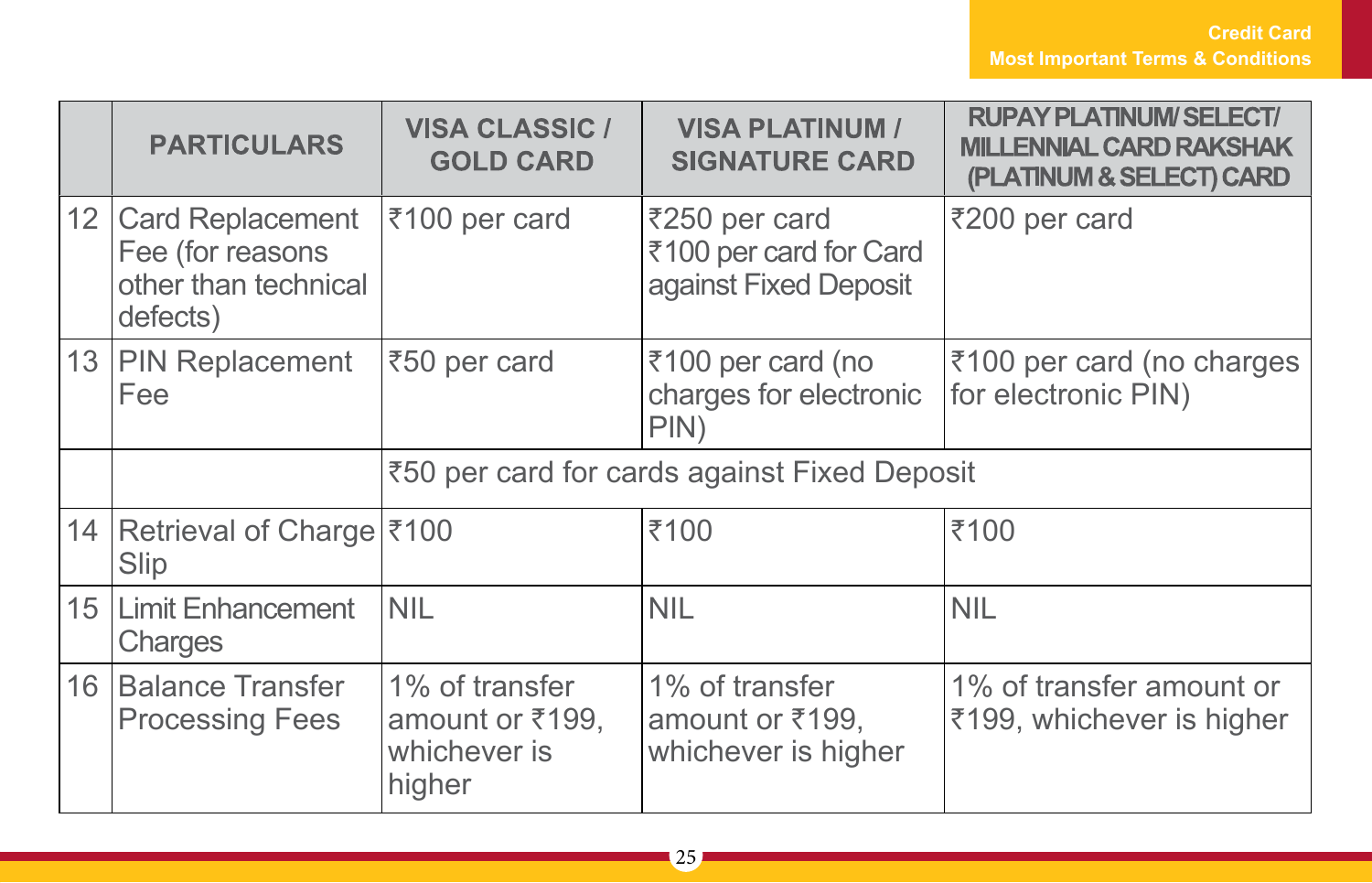|                 | <b>PARTICULARS</b>                                                              | <b>VISA CLASSIC /</b><br><b>GOLD CARD</b>                   | <b>VISA PLATINUM /</b><br><b>SIGNATURE CARD</b>                  | <b>RUPAY PLATINUM/SELECT/</b><br><b>MILLENNIAL CARD RAKSHAK</b><br>(PLATINUM & SELECT) CARD |
|-----------------|---------------------------------------------------------------------------------|-------------------------------------------------------------|------------------------------------------------------------------|---------------------------------------------------------------------------------------------|
| 12 <sup>1</sup> | <b>Card Replacement</b><br>Fee (for reasons<br>other than technical<br>defects) | ₹100 per card                                               | ₹250 per card<br>₹100 per card for Card<br>against Fixed Deposit | ₹200 per card                                                                               |
|                 | 13 PIN Replacement<br>Fee                                                       | ₹50 per card                                                | ₹100 per card (no<br>charges for electronic<br>PIN)              | ₹100 per card (no charges<br>for electronic PIN)                                            |
|                 |                                                                                 | ₹50 per card for cards against Fixed Deposit                |                                                                  |                                                                                             |
|                 | 14   Retrieval of Charge ₹100<br>Slip                                           |                                                             | ₹100                                                             | ₹100                                                                                        |
|                 | 15   Limit Enhancement<br>Charges                                               | <b>NIL</b>                                                  | <b>NIL</b>                                                       | <b>NIL</b>                                                                                  |
|                 | 16 Balance Transfer<br><b>Processing Fees</b>                                   | 1% of transfer<br>amount or ₹199,<br>whichever is<br>higher | 1% of transfer<br>amount or ₹199,<br>whichever is higher         | 1% of transfer amount or<br>₹199, whichever is higher                                       |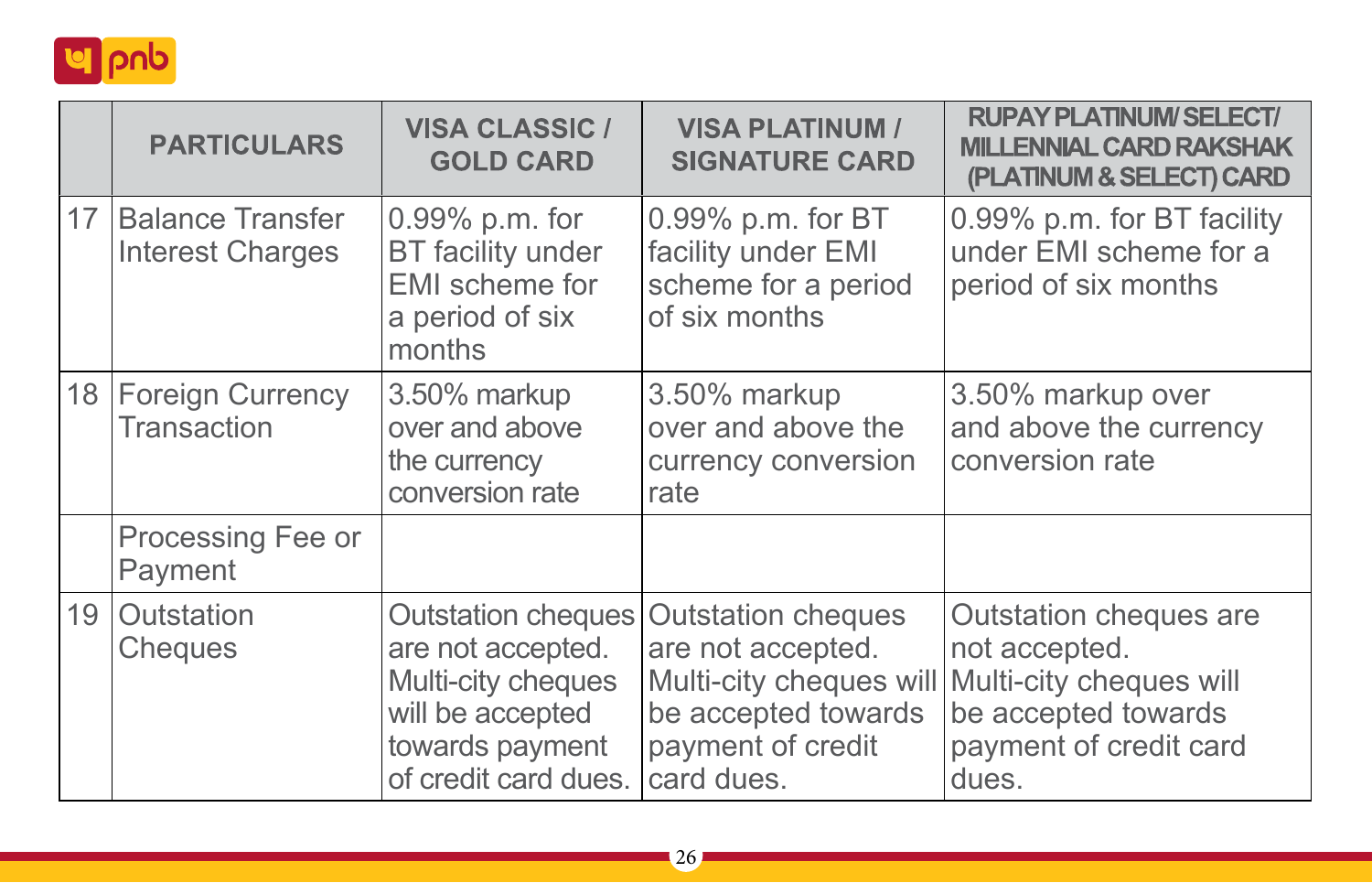

|    | <b>PARTICULARS</b>                          | <b>VISA CLASSIC /</b><br><b>GOLD CARD</b>                                                                                    | <b>VISA PLATINUM /</b><br><b>SIGNATURE CARD</b>                                                          | <b>RUPAY PLATINUM/SELECT/</b><br><b>MILLENNIAL CARD RAKSHAK</b><br>(PLATINUM & SELECT) CARD                                                          |
|----|---------------------------------------------|------------------------------------------------------------------------------------------------------------------------------|----------------------------------------------------------------------------------------------------------|------------------------------------------------------------------------------------------------------------------------------------------------------|
| 17 | Balance Transfer<br><b>Interest Charges</b> | 0.99% p.m. for<br><b>BT</b> facility under<br><b>EMI</b> scheme for<br>a period of six<br>months                             | 0.99% p.m. for BT<br>facility under EMI<br>scheme for a period<br>of six months                          | 0.99% p.m. for BT facility<br>under EMI scheme for a<br>period of six months                                                                         |
|    | 18   Foreign Currency<br><b>Transaction</b> | 3.50% markup<br>over and above<br>the currency<br>conversion rate                                                            | 3.50% markup<br>over and above the<br>currency conversion<br>rate                                        | 3.50% markup over<br>and above the currency<br>conversion rate                                                                                       |
|    | Processing Fee or<br>Payment                |                                                                                                                              |                                                                                                          |                                                                                                                                                      |
|    | 19 Outstation<br>Cheques                    | Outstation cheques<br>are not accepted.<br>Multi-city cheques<br>will be accepted<br>towards payment<br>of credit card dues. | <b>Outstation cheques</b><br>are not accepted.<br>be accepted towards<br>payment of credit<br>card dues. | Outstation cheques are<br>not accepted.<br>Multi-city cheques will Multi-city cheques will<br>be accepted towards<br>payment of credit card<br>dues. |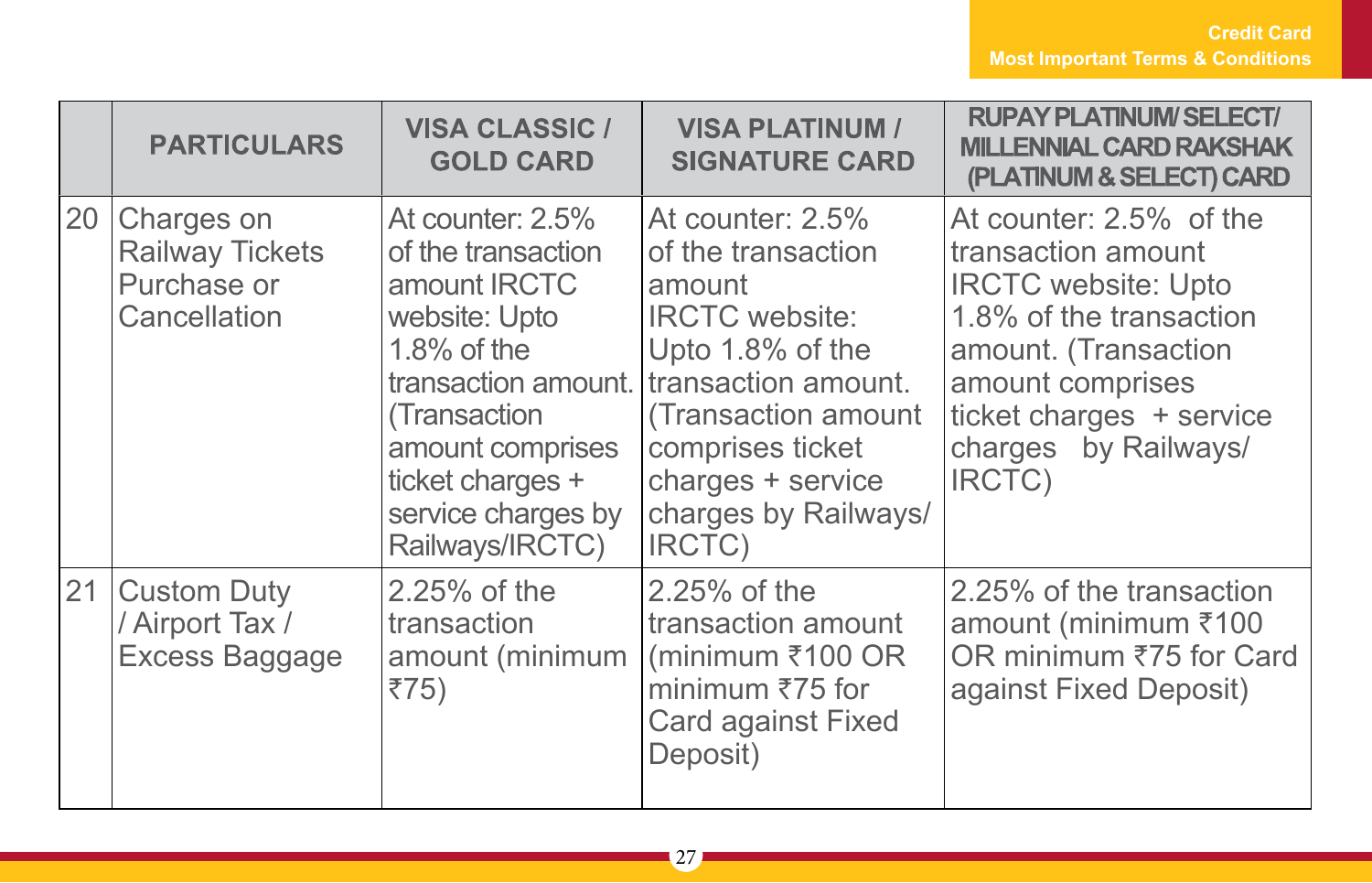|    | <b>PARTICULARS</b>                                                  | <b>VISA CLASSIC /</b><br><b>GOLD CARD</b>                                                                                                                                                  | <b>VISA PLATINUM /</b><br><b>SIGNATURE CARD</b>                                                                                                                                                                                            | <b>RUPAY PLATINUM/SELECT/</b><br><b>MILLENNIAL CARD RAKSHAK</b><br>(PLATINUM & SELECT) CARD                                                                                                                      |
|----|---------------------------------------------------------------------|--------------------------------------------------------------------------------------------------------------------------------------------------------------------------------------------|--------------------------------------------------------------------------------------------------------------------------------------------------------------------------------------------------------------------------------------------|------------------------------------------------------------------------------------------------------------------------------------------------------------------------------------------------------------------|
| 20 | Charges on<br><b>Railway Tickets</b><br>Purchase or<br>Cancellation | At counter: 2.5%<br>of the transaction<br>amount IRCTC<br>website: Upto<br>$1.8\%$ of the<br>(Transaction<br>amount comprises<br>ticket charges +<br>service charges by<br>Railways/IRCTC) | At counter: 2.5%<br>of the transaction<br>amount<br><b>IRCTC</b> website:<br>Upto 1.8% of the<br>transaction amount. transaction amount.<br>(Transaction amount<br>comprises ticket<br>charges + service<br>charges by Railways/<br>IRCTC) | At counter: 2.5% of the<br>transaction amount<br><b>IRCTC</b> website: Upto<br>1.8% of the transaction<br>amount. (Transaction<br>amount comprises<br>ticket charges + service<br>charges by Railways/<br>IRCTC) |
| 21 | <b>Custom Duty</b><br>/ Airport Tax /<br>Excess Baggage             | $2.25%$ of the<br>transaction<br>amount (minimum<br>₹75)                                                                                                                                   | 2.25% of the<br>transaction amount<br>(minimum $\overline{\xi}$ 100 OR<br>minimum $\overline{575}$ for<br>Card against Fixed<br>Deposit)                                                                                                   | 2.25% of the transaction<br>amount (minimum ₹100<br>OR minimum ₹75 for Card<br>against Fixed Deposit)                                                                                                            |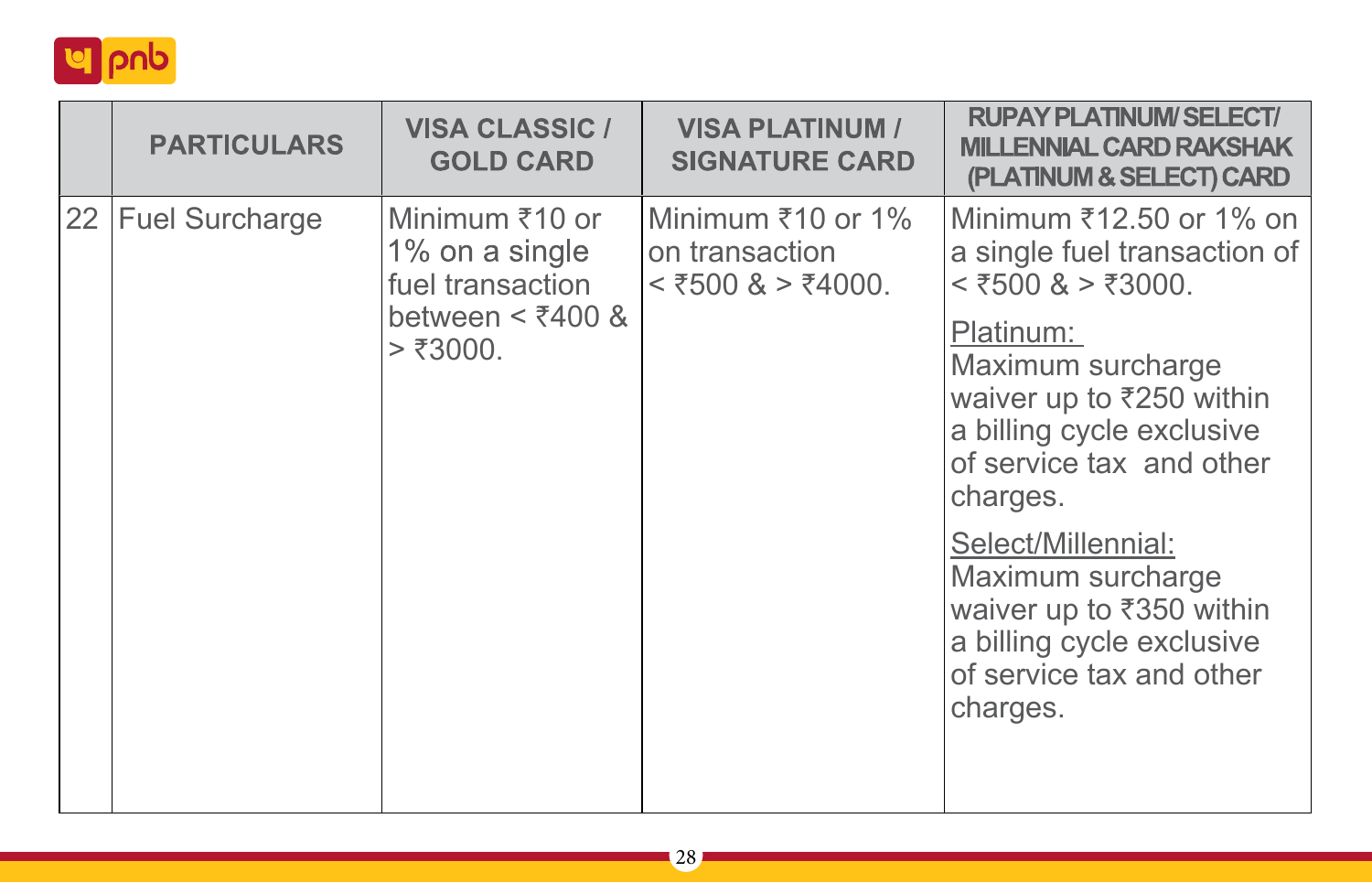

| <b>PARTICULARS</b> | <b>VISA CLASSIC /</b><br><b>GOLD CARD</b>                                                   | <b>VISA PLATINUM /</b><br><b>SIGNATURE CARD</b>            | <b>RUPAY PLATINUM/SELECT/</b><br><b>MILLENNIAL CARD RAKSHAK</b><br>(PLATINUM & SELECT) CARD                                                                                                                                                                                                                              |
|--------------------|---------------------------------------------------------------------------------------------|------------------------------------------------------------|--------------------------------------------------------------------------------------------------------------------------------------------------------------------------------------------------------------------------------------------------------------------------------------------------------------------------|
| 22 Fuel Surcharge  | Minimum ₹10 or<br>1% on a single<br>fuel transaction<br>between $\leq$ ₹400 &<br>$>$ ₹3000. | Minimum ₹10 or 1%<br>on transaction<br>$<$ ₹500 & > ₹4000. | Minimum ₹12.50 or 1% on<br>a single fuel transaction of<br>$\leq$ ₹500 & > ₹3000.<br>Platinum:<br>Maximum surcharge<br>waiver up to ₹250 within<br>a billing cycle exclusive<br>of service tax and other<br>charges.<br>Select/Millennial:<br>Maximum surcharge<br>waiver up to ₹350 within<br>a billing cycle exclusive |
|                    |                                                                                             |                                                            | of service tax and other<br>charges.                                                                                                                                                                                                                                                                                     |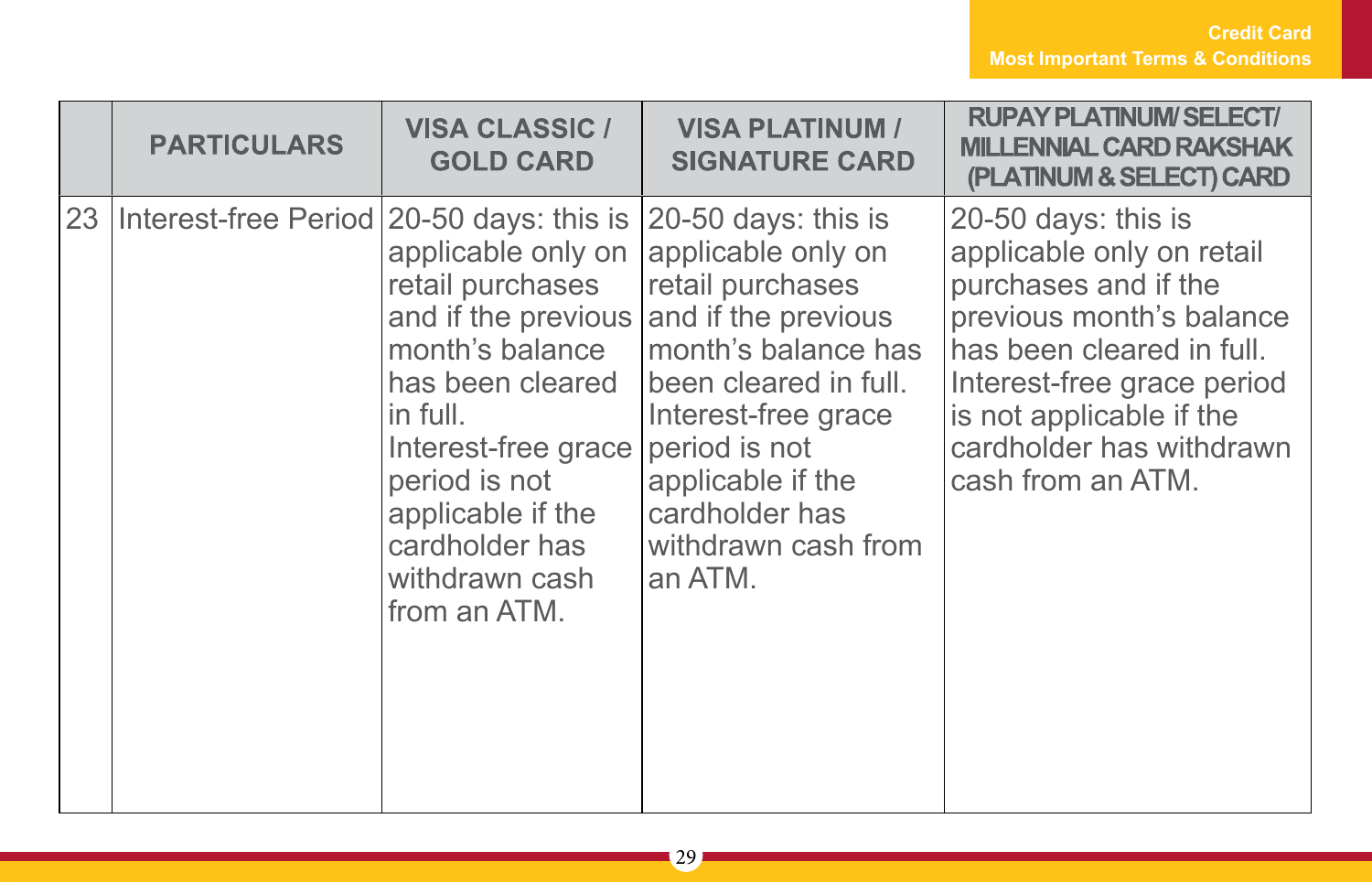|    | <b>PARTICULARS</b>                                           | <b>VISA CLASSIC /</b><br><b>GOLD CARD</b>                                                                                                                                                                      | <b>VISA PLATINUM /</b><br><b>SIGNATURE CARD</b>                                                                                                                                                                                                    | <b>RUPAY PLATINUM/SELECT/</b><br><b>MILLENNIAL CARD RAKSHAK</b><br>(PLATINUM & SELECT) CARD                                                                                                                                                  |
|----|--------------------------------------------------------------|----------------------------------------------------------------------------------------------------------------------------------------------------------------------------------------------------------------|----------------------------------------------------------------------------------------------------------------------------------------------------------------------------------------------------------------------------------------------------|----------------------------------------------------------------------------------------------------------------------------------------------------------------------------------------------------------------------------------------------|
| 23 | Interest-free Period 20-50 days: this is 20-50 days: this is | applicable only on $ $<br>retail purchases<br>month's balance<br>has been cleared<br>in full.<br>Interest-free grace<br>period is not<br>applicable if the<br>cardholder has<br>withdrawn cash<br>from an ATM. | applicable only on<br>retail purchases<br>and if the previous and if the previous<br>month's balance has<br>been cleared in full.<br>Interest-free grace<br>period is not<br>applicable if the<br>cardholder has<br>withdrawn cash from<br>an ATM. | 20-50 days: this is<br>applicable only on retail<br>purchases and if the<br>previous month's balance<br>has been cleared in full.<br>Interest-free grace period<br>is not applicable if the<br>cardholder has withdrawn<br>cash from an ATM. |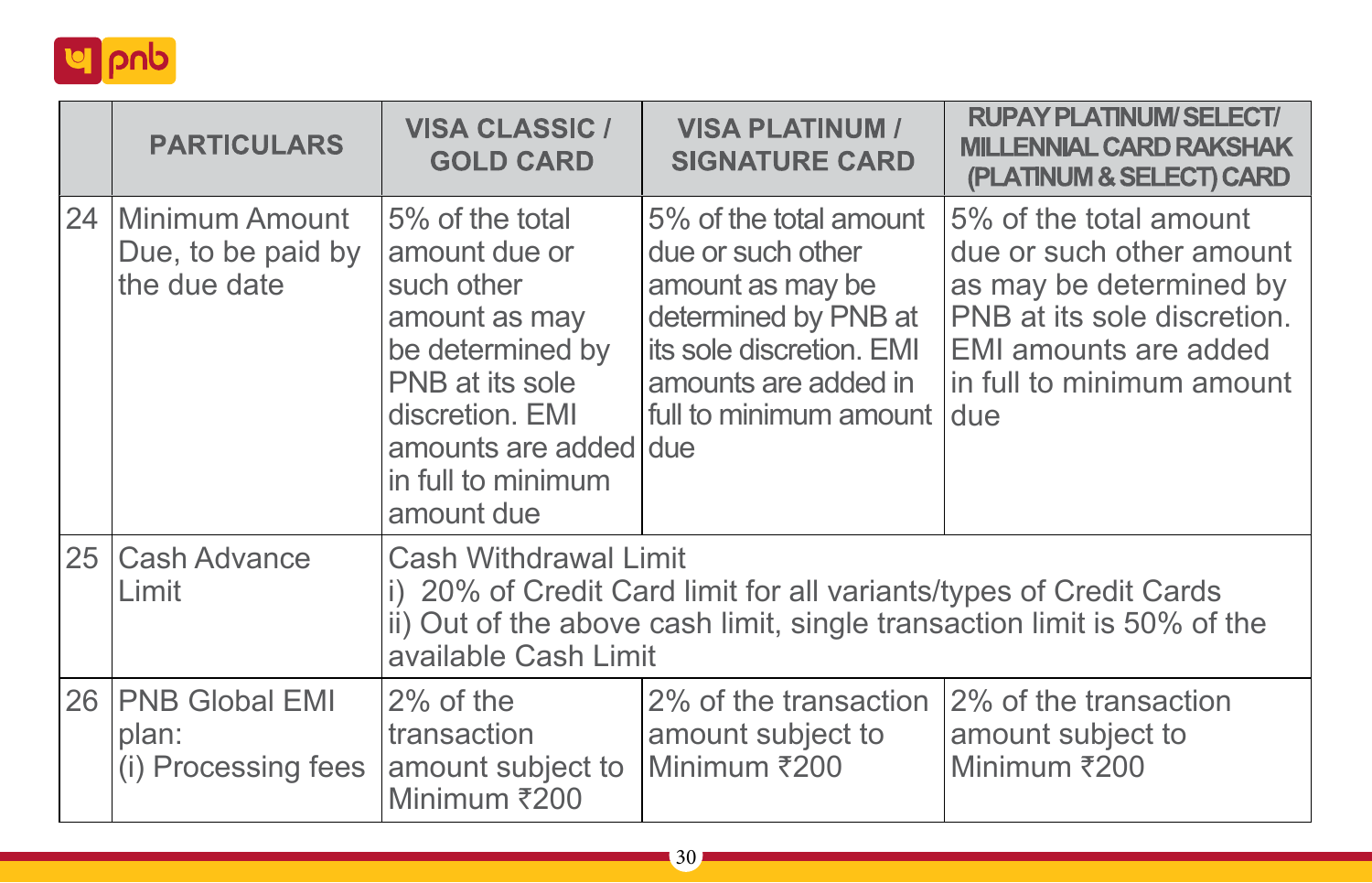

| <b>PARTICULARS</b>                                      | <b>VISA CLASSIC /</b><br><b>GOLD CARD</b>                                                                                                                                                      | <b>VISA PLATINUM /</b><br><b>SIGNATURE CARD</b>                                                                                                                       | <b>RUPAY PLATINUM/SELECT/</b><br><b>MILLENNIAL CARD RAKSHAK</b><br>(PLATINUM & SELECT) CARD                                                                               |
|---------------------------------------------------------|------------------------------------------------------------------------------------------------------------------------------------------------------------------------------------------------|-----------------------------------------------------------------------------------------------------------------------------------------------------------------------|---------------------------------------------------------------------------------------------------------------------------------------------------------------------------|
| 24 Minimum Amount<br>Due, to be paid by<br>the due date | 5% of the total<br>amount due or<br>such other<br>amount as may<br>be determined by<br>PNB at its sole<br>discretion. EMI<br>amounts are added due<br>in full to minimum<br>amount due         | 5% of the total amount<br>due or such other<br>amount as may be<br>determined by PNB at<br>its sole discretion. EMI<br>amounts are added in<br>full to minimum amount | 5% of the total amount<br>due or such other amount<br>as may be determined by<br>PNB at its sole discretion.<br>EMI amounts are added<br>in full to minimum amount<br>due |
| 25   Cash Advance<br>Limit                              | Cash Withdrawal Limit<br>i) 20% of Credit Card limit for all variants/types of Credit Cards<br>ii) Out of the above cash limit, single transaction limit is 50% of the<br>available Cash Limit |                                                                                                                                                                       |                                                                                                                                                                           |
| 26 PNB Global EMI<br>plan:<br>(i) Processing fees       | $2\%$ of the<br>transaction<br>amount subject to<br>Minimum ₹200                                                                                                                               | 2% of the transaction<br>amount subject to<br>Minimum ₹200                                                                                                            | 2% of the transaction<br>amount subject to<br>Minimum ₹200                                                                                                                |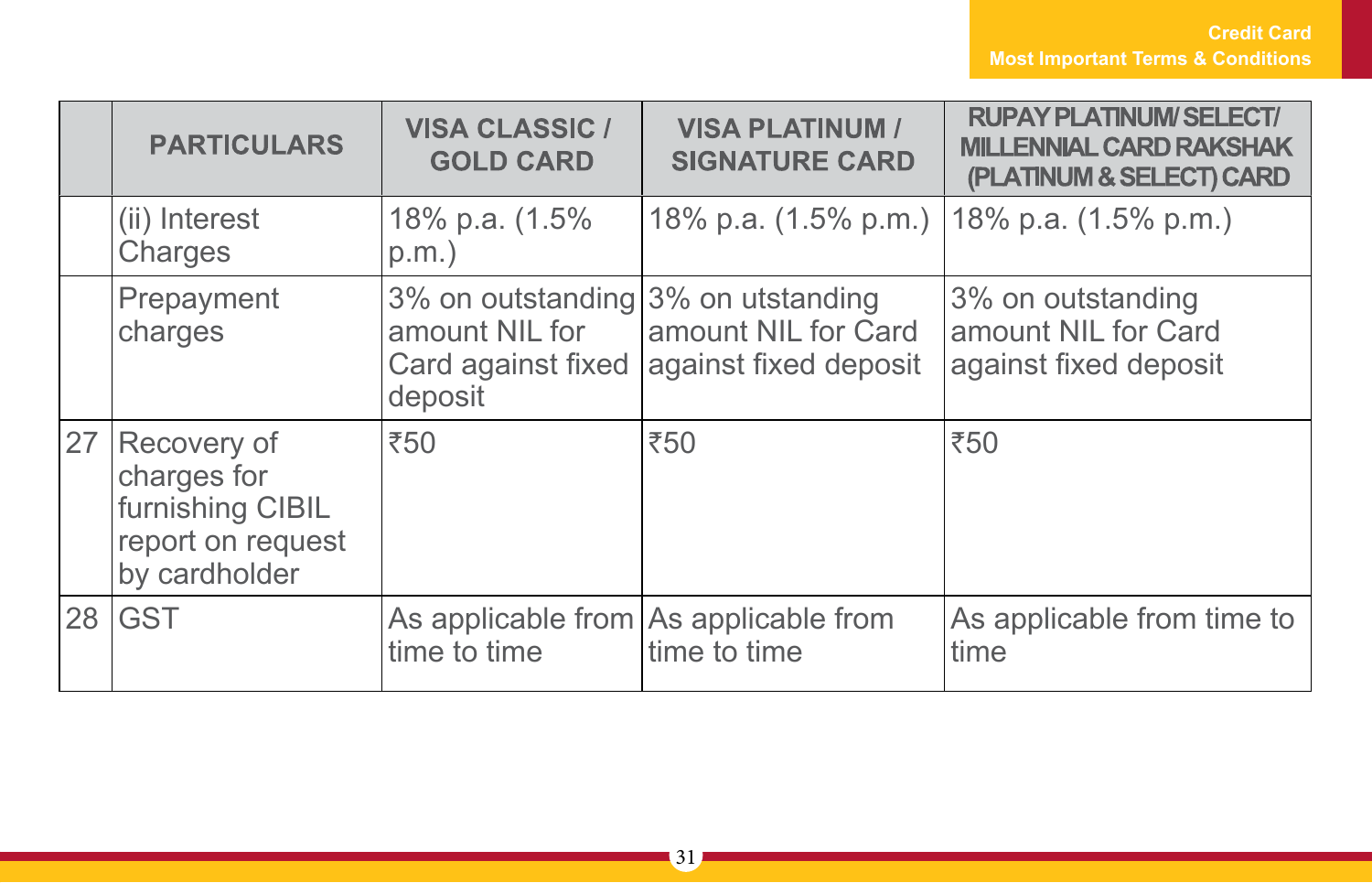|    | <b>PARTICULARS</b>                                                                   | <b>VISA CLASSIC /</b><br><b>GOLD CARD</b>                                             | <b>VISA PLATINUM /</b><br><b>SIGNATURE CARD</b>       | <b>RUPAY PLATINUM/SELECT/</b><br><b>MILLENNIAL CARD RAKSHAK</b><br>(PLATINUM & SELECT) CARD |
|----|--------------------------------------------------------------------------------------|---------------------------------------------------------------------------------------|-------------------------------------------------------|---------------------------------------------------------------------------------------------|
|    | (ii) Interest<br>Charges                                                             | 18% p.a. (1.5%<br>$p.m.$ )                                                            | 18% p.a. (1.5% p.m.)   18% p.a. (1.5% p.m.)           |                                                                                             |
|    | Prepayment<br>charges                                                                | 3% on outstanding 3% on utstanding<br>amount NIL for<br>Card against fixed<br>deposit | amount NIL for Card<br>against fixed deposit          | 3% on outstanding<br>amount NIL for Card<br>against fixed deposit                           |
| 27 | Recovery of<br>charges for<br>furnishing CIBIL<br>report on request<br>by cardholder | ₹50                                                                                   | ₹50                                                   | ₹50                                                                                         |
| 28 | <b>GST</b>                                                                           | time to time                                                                          | As applicable from As applicable from<br>time to time | As applicable from time to<br>time                                                          |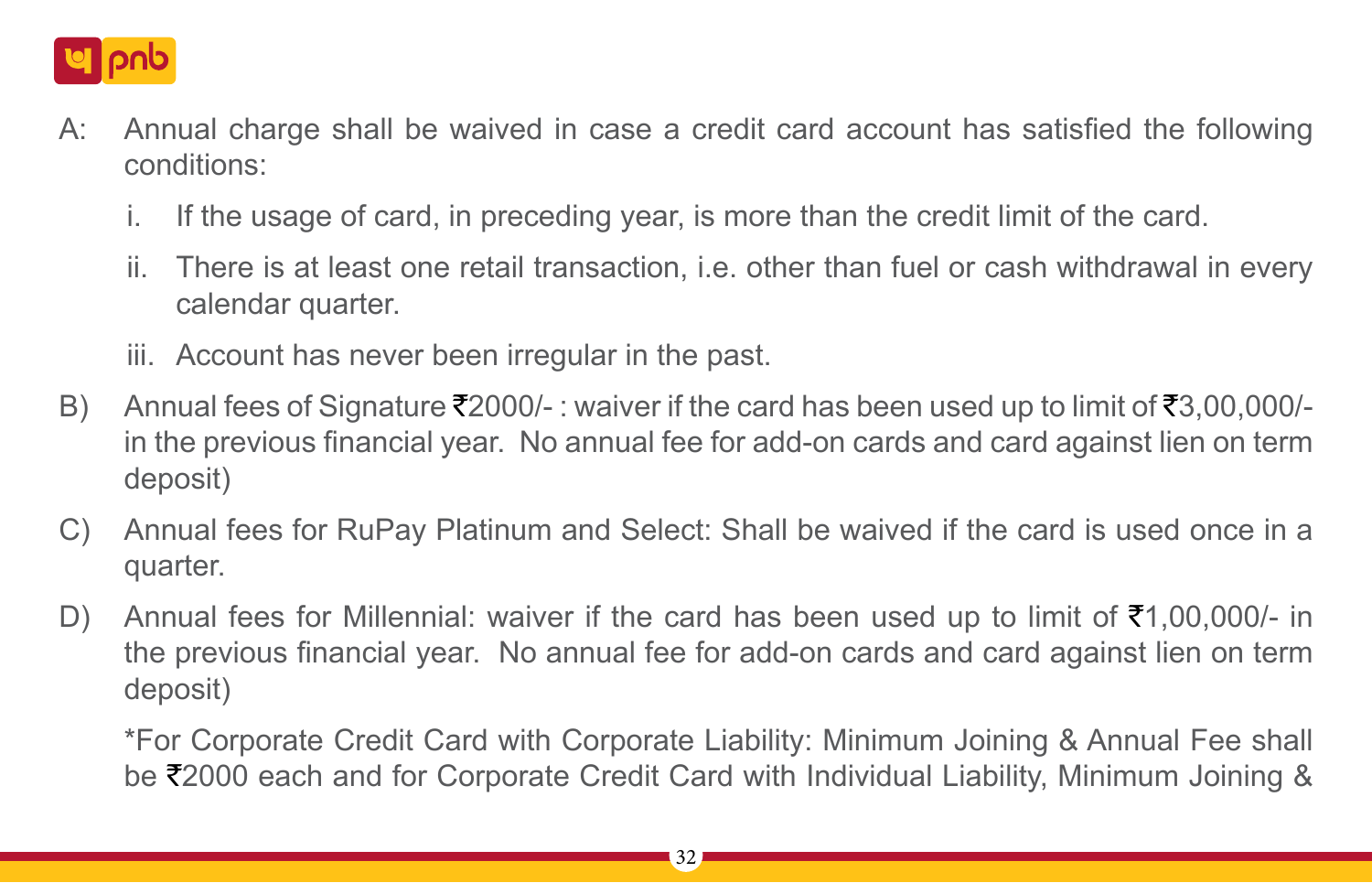

- A: Annual charge shall be waived in case a credit card account has satisfied the following conditions:
	- i. If the usage of card, in preceding year, is more than the credit limit of the card.
	- ii. There is at least one retail transaction, i.e. other than fuel or cash withdrawal in every calendar quarter.
	- iii. Account has never been irregular in the past.
- B) Annual fees of Signature  $\overline{2}2000/$ -: waiver if the card has been used up to limit of  $\overline{3}3,00,000/$ in the previous financial year. No annual fee for add-on cards and card against lien on term deposit)
- C) Annual fees for RuPay Platinum and Select: Shall be waived if the card is used once in a quarter.
- D) Annual fees for Millennial: waiver if the card has been used up to limit of  $\bar{\tau}1,00,000/$  in the previous financial year. No annual fee for add-on cards and card against lien on term deposit)

\*For Corporate Credit Card with Corporate Liability: Minimum Joining & Annual Fee shall be  $\overline{z}$ 2000 each and for Corporate Credit Card with Individual Liability, Minimum Joining &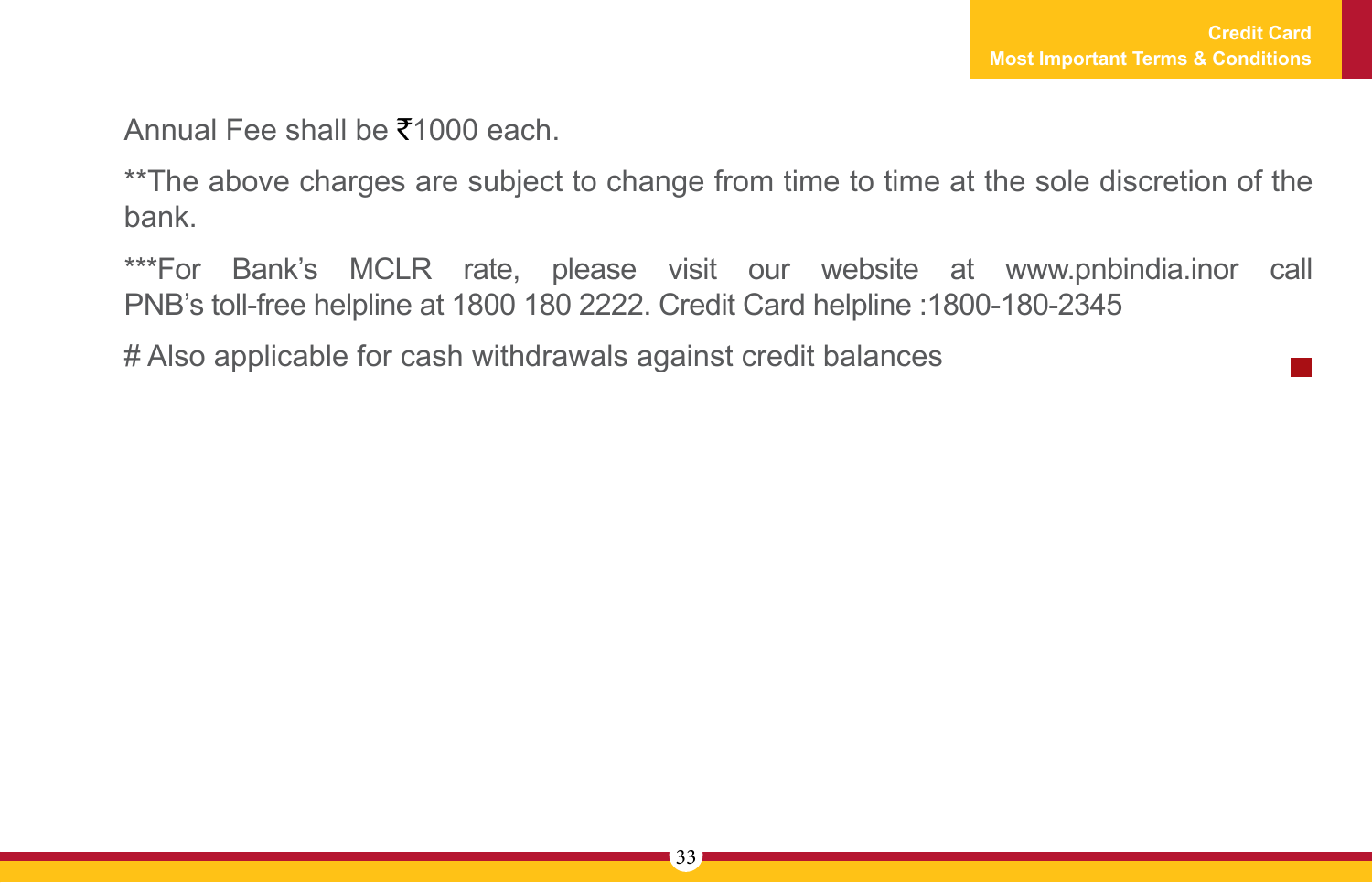Annual Fee shall be  $\bar{x}$ 1000 each.

\*\*The above charges are subject to change from time to time at the sole discretion of the bank.

\*\*\*For Bank's MCLR rate, please visit our website at www.pnbindia.inor call PNB's toll-free helpline at 1800 180 2222. Credit Card helpline :1800-180-2345

# Also applicable for cash withdrawals against credit balances